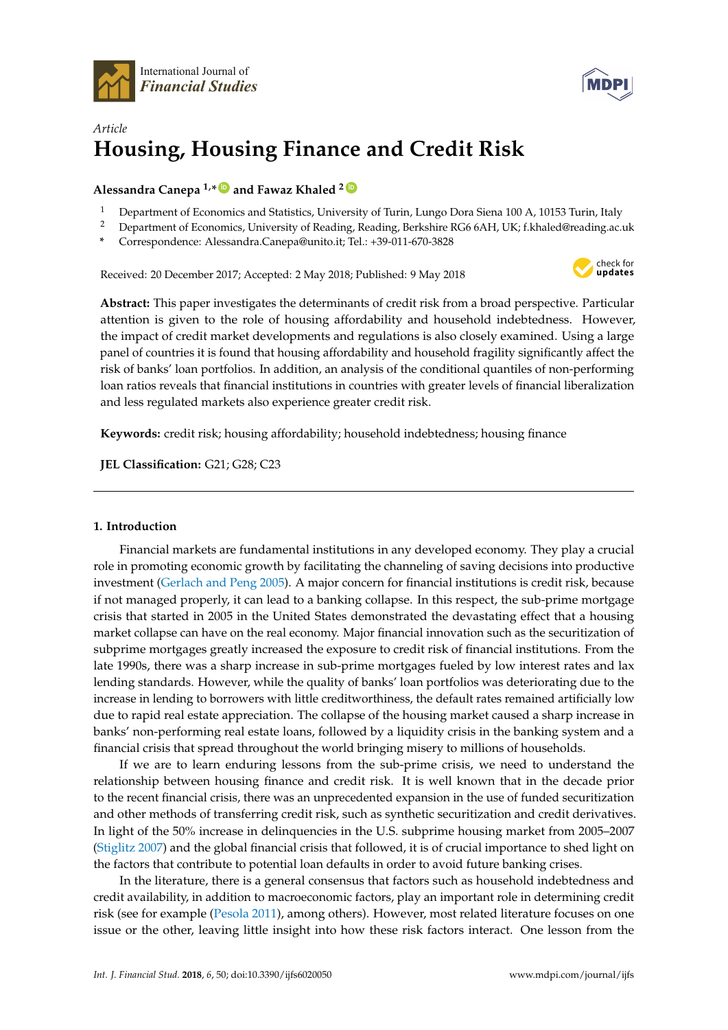



# *Article* **Housing, Housing Finance and Credit Risk**

## **Alessandra Canepa 1,\* [ID](https://orcid.org/0000-0002-1287-3920) and Fawaz Khaled <sup>2</sup> [ID](https://orcid.org/0000-0003-1634-7941)**

- <sup>1</sup> Department of Economics and Statistics, University of Turin, Lungo Dora Siena 100 A, 10153 Turin, Italy<br><sup>2</sup> Department of Economics Hair and of Doraling Postation Best the BCCCAH HK (11st department)
- <sup>2</sup> Department of Economics, University of Reading, Reading, Berkshire RG6 6AH, UK; f.khaled@reading.ac.uk
- **\*** Correspondence: Alessandra.Canepa@unito.it; Tel.: +39-011-670-3828

Received: 20 December 2017; Accepted: 2 May 2018; Published: 9 May 2018



**Abstract:** This paper investigates the determinants of credit risk from a broad perspective. Particular attention is given to the role of housing affordability and household indebtedness. However, the impact of credit market developments and regulations is also closely examined. Using a large panel of countries it is found that housing affordability and household fragility significantly affect the risk of banks' loan portfolios. In addition, an analysis of the conditional quantiles of non-performing loan ratios reveals that financial institutions in countries with greater levels of financial liberalization and less regulated markets also experience greater credit risk.

**Keywords:** credit risk; housing affordability; household indebtedness; housing finance

**JEL Classification:** G21; G28; C23

## **1. Introduction**

Financial markets are fundamental institutions in any developed economy. They play a crucial role in promoting economic growth by facilitating the channeling of saving decisions into productive investment [\(Gerlach and Peng](#page-21-0) [2005\)](#page-21-0). A major concern for financial institutions is credit risk, because if not managed properly, it can lead to a banking collapse. In this respect, the sub-prime mortgage crisis that started in 2005 in the United States demonstrated the devastating effect that a housing market collapse can have on the real economy. Major financial innovation such as the securitization of subprime mortgages greatly increased the exposure to credit risk of financial institutions. From the late 1990s, there was a sharp increase in sub-prime mortgages fueled by low interest rates and lax lending standards. However, while the quality of banks' loan portfolios was deteriorating due to the increase in lending to borrowers with little creditworthiness, the default rates remained artificially low due to rapid real estate appreciation. The collapse of the housing market caused a sharp increase in banks' non-performing real estate loans, followed by a liquidity crisis in the banking system and a financial crisis that spread throughout the world bringing misery to millions of households.

If we are to learn enduring lessons from the sub-prime crisis, we need to understand the relationship between housing finance and credit risk. It is well known that in the decade prior to the recent financial crisis, there was an unprecedented expansion in the use of funded securitization and other methods of transferring credit risk, such as synthetic securitization and credit derivatives. In light of the 50% increase in delinquencies in the U.S. subprime housing market from 2005–2007 [\(Stiglitz](#page-22-0) [2007\)](#page-22-0) and the global financial crisis that followed, it is of crucial importance to shed light on the factors that contribute to potential loan defaults in order to avoid future banking crises.

In the literature, there is a general consensus that factors such as household indebtedness and credit availability, in addition to macroeconomic factors, play an important role in determining credit risk (see for example [\(Pesola](#page-22-1) [2011\)](#page-22-1), among others). However, most related literature focuses on one issue or the other, leaving little insight into how these risk factors interact. One lesson from the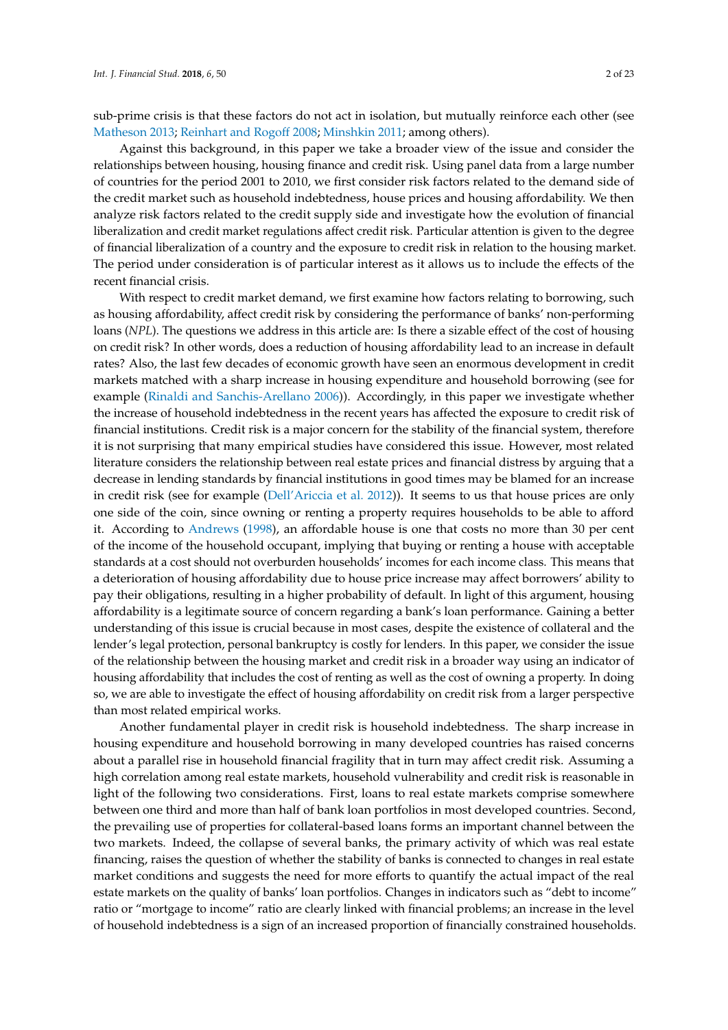sub-prime crisis is that these factors do not act in isolation, but mutually reinforce each other (see [Matheson](#page-21-1) [2013;](#page-21-1) [Reinhart and Rogoff](#page-22-2) [2008;](#page-22-2) [Minshkin](#page-21-2) [2011;](#page-21-2) among others).

Against this background, in this paper we take a broader view of the issue and consider the relationships between housing, housing finance and credit risk. Using panel data from a large number of countries for the period 2001 to 2010, we first consider risk factors related to the demand side of the credit market such as household indebtedness, house prices and housing affordability. We then analyze risk factors related to the credit supply side and investigate how the evolution of financial liberalization and credit market regulations affect credit risk. Particular attention is given to the degree of financial liberalization of a country and the exposure to credit risk in relation to the housing market. The period under consideration is of particular interest as it allows us to include the effects of the recent financial crisis.

With respect to credit market demand, we first examine how factors relating to borrowing, such as housing affordability, affect credit risk by considering the performance of banks' non-performing loans (*NPL*). The questions we address in this article are: Is there a sizable effect of the cost of housing on credit risk? In other words, does a reduction of housing affordability lead to an increase in default rates? Also, the last few decades of economic growth have seen an enormous development in credit markets matched with a sharp increase in housing expenditure and household borrowing (see for example [\(Rinaldi and Sanchis-Arellano](#page-22-3) [2006\)](#page-22-3)). Accordingly, in this paper we investigate whether the increase of household indebtedness in the recent years has affected the exposure to credit risk of financial institutions. Credit risk is a major concern for the stability of the financial system, therefore it is not surprising that many empirical studies have considered this issue. However, most related literature considers the relationship between real estate prices and financial distress by arguing that a decrease in lending standards by financial institutions in good times may be blamed for an increase in credit risk (see for example [\(Dell'Ariccia et al.](#page-21-3) [2012\)](#page-21-3)). It seems to us that house prices are only one side of the coin, since owning or renting a property requires households to be able to afford it. According to [Andrews](#page-20-0) [\(1998\)](#page-20-0), an affordable house is one that costs no more than 30 per cent of the income of the household occupant, implying that buying or renting a house with acceptable standards at a cost should not overburden households' incomes for each income class. This means that a deterioration of housing affordability due to house price increase may affect borrowers' ability to pay their obligations, resulting in a higher probability of default. In light of this argument, housing affordability is a legitimate source of concern regarding a bank's loan performance. Gaining a better understanding of this issue is crucial because in most cases, despite the existence of collateral and the lender's legal protection, personal bankruptcy is costly for lenders. In this paper, we consider the issue of the relationship between the housing market and credit risk in a broader way using an indicator of housing affordability that includes the cost of renting as well as the cost of owning a property. In doing so, we are able to investigate the effect of housing affordability on credit risk from a larger perspective than most related empirical works.

Another fundamental player in credit risk is household indebtedness. The sharp increase in housing expenditure and household borrowing in many developed countries has raised concerns about a parallel rise in household financial fragility that in turn may affect credit risk. Assuming a high correlation among real estate markets, household vulnerability and credit risk is reasonable in light of the following two considerations. First, loans to real estate markets comprise somewhere between one third and more than half of bank loan portfolios in most developed countries. Second, the prevailing use of properties for collateral-based loans forms an important channel between the two markets. Indeed, the collapse of several banks, the primary activity of which was real estate financing, raises the question of whether the stability of banks is connected to changes in real estate market conditions and suggests the need for more efforts to quantify the actual impact of the real estate markets on the quality of banks' loan portfolios. Changes in indicators such as "debt to income" ratio or "mortgage to income" ratio are clearly linked with financial problems; an increase in the level of household indebtedness is a sign of an increased proportion of financially constrained households.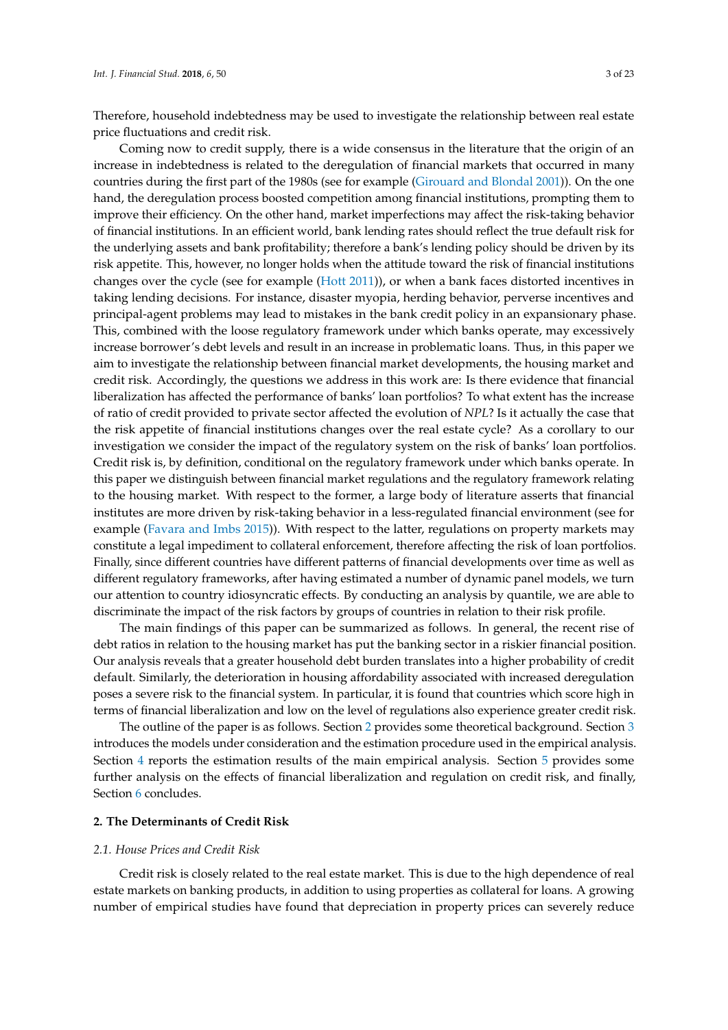Therefore, household indebtedness may be used to investigate the relationship between real estate price fluctuations and credit risk.

Coming now to credit supply, there is a wide consensus in the literature that the origin of an increase in indebtedness is related to the deregulation of financial markets that occurred in many countries during the first part of the 1980s (see for example [\(Girouard and Blondal](#page-21-4) [2001\)](#page-21-4)). On the one hand, the deregulation process boosted competition among financial institutions, prompting them to improve their efficiency. On the other hand, market imperfections may affect the risk-taking behavior of financial institutions. In an efficient world, bank lending rates should reflect the true default risk for the underlying assets and bank profitability; therefore a bank's lending policy should be driven by its risk appetite. This, however, no longer holds when the attitude toward the risk of financial institutions changes over the cycle (see for example [\(Hott](#page-21-5) [2011\)](#page-21-5)), or when a bank faces distorted incentives in taking lending decisions. For instance, disaster myopia, herding behavior, perverse incentives and principal-agent problems may lead to mistakes in the bank credit policy in an expansionary phase. This, combined with the loose regulatory framework under which banks operate, may excessively increase borrower's debt levels and result in an increase in problematic loans. Thus, in this paper we aim to investigate the relationship between financial market developments, the housing market and credit risk. Accordingly, the questions we address in this work are: Is there evidence that financial liberalization has affected the performance of banks' loan portfolios? To what extent has the increase of ratio of credit provided to private sector affected the evolution of *NPL*? Is it actually the case that the risk appetite of financial institutions changes over the real estate cycle? As a corollary to our investigation we consider the impact of the regulatory system on the risk of banks' loan portfolios. Credit risk is, by definition, conditional on the regulatory framework under which banks operate. In this paper we distinguish between financial market regulations and the regulatory framework relating to the housing market. With respect to the former, a large body of literature asserts that financial institutes are more driven by risk-taking behavior in a less-regulated financial environment (see for example [\(Favara and Imbs](#page-21-6) [2015\)](#page-21-6)). With respect to the latter, regulations on property markets may constitute a legal impediment to collateral enforcement, therefore affecting the risk of loan portfolios. Finally, since different countries have different patterns of financial developments over time as well as different regulatory frameworks, after having estimated a number of dynamic panel models, we turn our attention to country idiosyncratic effects. By conducting an analysis by quantile, we are able to discriminate the impact of the risk factors by groups of countries in relation to their risk profile.

The main findings of this paper can be summarized as follows. In general, the recent rise of debt ratios in relation to the housing market has put the banking sector in a riskier financial position. Our analysis reveals that a greater household debt burden translates into a higher probability of credit default. Similarly, the deterioration in housing affordability associated with increased deregulation poses a severe risk to the financial system. In particular, it is found that countries which score high in terms of financial liberalization and low on the level of regulations also experience greater credit risk.

The outline of the paper is as follows. Section [2](#page-2-0) provides some theoretical background. Section [3](#page-5-0) introduces the models under consideration and the estimation procedure used in the empirical analysis. Section [4](#page-8-0) reports the estimation results of the main empirical analysis. Section [5](#page-13-0) provides some further analysis on the effects of financial liberalization and regulation on credit risk, and finally, Section [6](#page-18-0) concludes.

## <span id="page-2-0"></span>**2. The Determinants of Credit Risk**

#### *2.1. House Prices and Credit Risk*

Credit risk is closely related to the real estate market. This is due to the high dependence of real estate markets on banking products, in addition to using properties as collateral for loans. A growing number of empirical studies have found that depreciation in property prices can severely reduce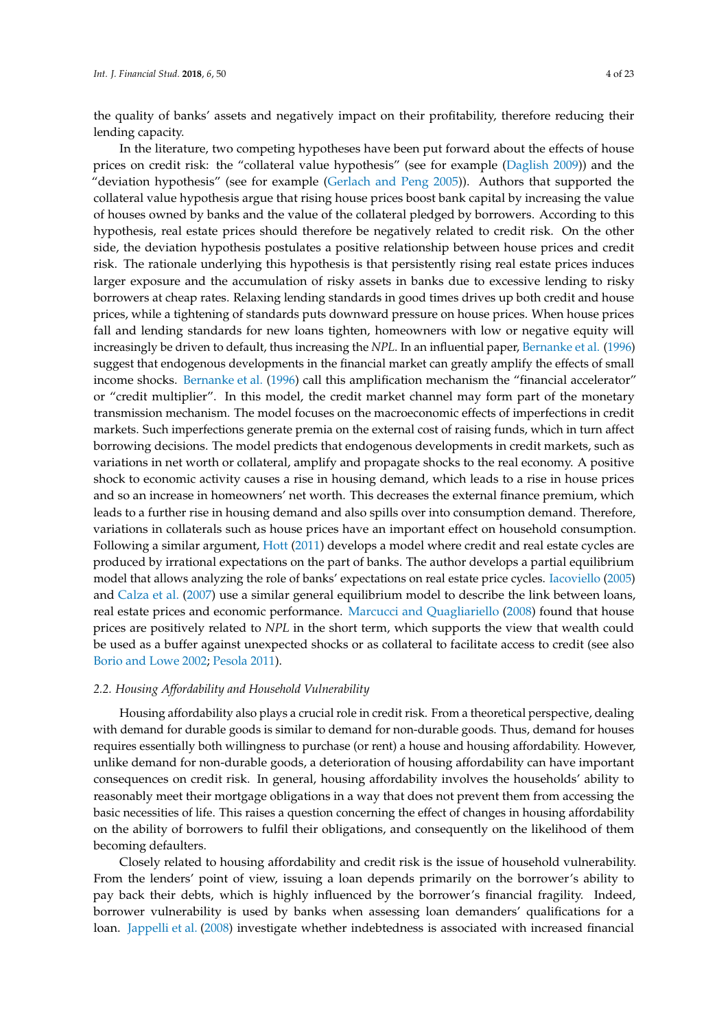the quality of banks' assets and negatively impact on their profitability, therefore reducing their lending capacity.

In the literature, two competing hypotheses have been put forward about the effects of house prices on credit risk: the "collateral value hypothesis" (see for example [\(Daglish](#page-21-7) [2009\)](#page-21-7)) and the "deviation hypothesis" (see for example [\(Gerlach and Peng](#page-21-0) [2005\)](#page-21-0)). Authors that supported the collateral value hypothesis argue that rising house prices boost bank capital by increasing the value of houses owned by banks and the value of the collateral pledged by borrowers. According to this hypothesis, real estate prices should therefore be negatively related to credit risk. On the other side, the deviation hypothesis postulates a positive relationship between house prices and credit risk. The rationale underlying this hypothesis is that persistently rising real estate prices induces larger exposure and the accumulation of risky assets in banks due to excessive lending to risky borrowers at cheap rates. Relaxing lending standards in good times drives up both credit and house prices, while a tightening of standards puts downward pressure on house prices. When house prices fall and lending standards for new loans tighten, homeowners with low or negative equity will increasingly be driven to default, thus increasing the *NPL*. In an influential paper, [Bernanke et al.](#page-20-1) [\(1996\)](#page-20-1) suggest that endogenous developments in the financial market can greatly amplify the effects of small income shocks. [Bernanke et al.](#page-20-1) [\(1996\)](#page-20-1) call this amplification mechanism the "financial accelerator" or "credit multiplier". In this model, the credit market channel may form part of the monetary transmission mechanism. The model focuses on the macroeconomic effects of imperfections in credit markets. Such imperfections generate premia on the external cost of raising funds, which in turn affect borrowing decisions. The model predicts that endogenous developments in credit markets, such as variations in net worth or collateral, amplify and propagate shocks to the real economy. A positive shock to economic activity causes a rise in housing demand, which leads to a rise in house prices and so an increase in homeowners' net worth. This decreases the external finance premium, which leads to a further rise in housing demand and also spills over into consumption demand. Therefore, variations in collaterals such as house prices have an important effect on household consumption. Following a similar argument, [Hott](#page-21-5) [\(2011\)](#page-21-5) develops a model where credit and real estate cycles are produced by irrational expectations on the part of banks. The author develops a partial equilibrium model that allows analyzing the role of banks' expectations on real estate price cycles. [Iacoviello](#page-21-8) [\(2005\)](#page-21-8) and [Calza et al.](#page-21-9) [\(2007\)](#page-21-9) use a similar general equilibrium model to describe the link between loans, real estate prices and economic performance. [Marcucci and Quagliariello](#page-21-10) [\(2008\)](#page-21-10) found that house prices are positively related to *NPL* in the short term, which supports the view that wealth could be used as a buffer against unexpected shocks or as collateral to facilitate access to credit (see also [Borio and Lowe](#page-20-2) [2002;](#page-20-2) [Pesola](#page-22-1) [2011\)](#page-22-1).

## *2.2. Housing Affordability and Household Vulnerability*

Housing affordability also plays a crucial role in credit risk. From a theoretical perspective, dealing with demand for durable goods is similar to demand for non-durable goods. Thus, demand for houses requires essentially both willingness to purchase (or rent) a house and housing affordability. However, unlike demand for non-durable goods, a deterioration of housing affordability can have important consequences on credit risk. In general, housing affordability involves the households' ability to reasonably meet their mortgage obligations in a way that does not prevent them from accessing the basic necessities of life. This raises a question concerning the effect of changes in housing affordability on the ability of borrowers to fulfil their obligations, and consequently on the likelihood of them becoming defaulters.

Closely related to housing affordability and credit risk is the issue of household vulnerability. From the lenders' point of view, issuing a loan depends primarily on the borrower's ability to pay back their debts, which is highly influenced by the borrower's financial fragility. Indeed, borrower vulnerability is used by banks when assessing loan demanders' qualifications for a loan. [Jappelli et al.](#page-21-11) [\(2008\)](#page-21-11) investigate whether indebtedness is associated with increased financial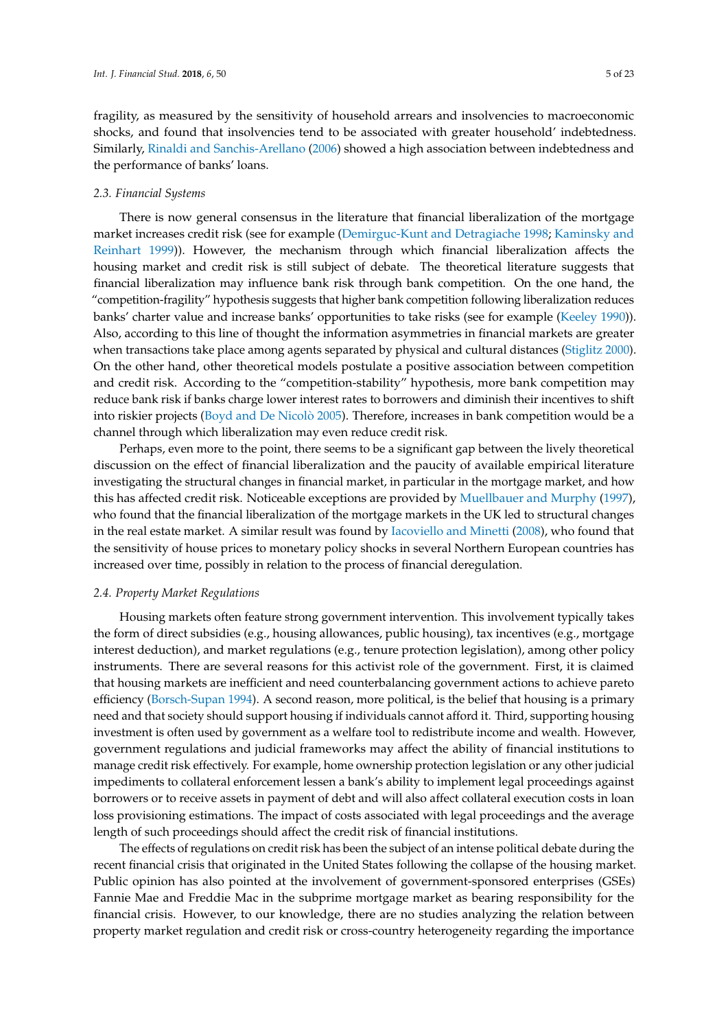fragility, as measured by the sensitivity of household arrears and insolvencies to macroeconomic shocks, and found that insolvencies tend to be associated with greater household' indebtedness. Similarly, [Rinaldi and Sanchis-Arellano](#page-22-3) [\(2006\)](#page-22-3) showed a high association between indebtedness and the performance of banks' loans.

## *2.3. Financial Systems*

There is now general consensus in the literature that financial liberalization of the mortgage market increases credit risk (see for example [\(Demirguc-Kunt and Detragiache](#page-21-12) [1998;](#page-21-12) [Kaminsky and](#page-21-13) [Reinhart](#page-21-13) [1999\)](#page-21-13)). However, the mechanism through which financial liberalization affects the housing market and credit risk is still subject of debate. The theoretical literature suggests that financial liberalization may influence bank risk through bank competition. On the one hand, the "competition-fragility" hypothesis suggests that higher bank competition following liberalization reduces banks' charter value and increase banks' opportunities to take risks (see for example [\(Keeley](#page-21-14) [1990\)](#page-21-14)). Also, according to this line of thought the information asymmetries in financial markets are greater when transactions take place among agents separated by physical and cultural distances [\(Stiglitz](#page-22-4) [2000\)](#page-22-4). On the other hand, other theoretical models postulate a positive association between competition and credit risk. According to the "competition-stability" hypothesis, more bank competition may reduce bank risk if banks charge lower interest rates to borrowers and diminish their incentives to shift into riskier projects [\(Boyd and De Nicol](#page-20-3)ò [2005\)](#page-20-3). Therefore, increases in bank competition would be a channel through which liberalization may even reduce credit risk.

Perhaps, even more to the point, there seems to be a significant gap between the lively theoretical discussion on the effect of financial liberalization and the paucity of available empirical literature investigating the structural changes in financial market, in particular in the mortgage market, and how this has affected credit risk. Noticeable exceptions are provided by [Muellbauer and Murphy](#page-22-5) [\(1997\)](#page-22-5), who found that the financial liberalization of the mortgage markets in the UK led to structural changes in the real estate market. A similar result was found by [Iacoviello and Minetti](#page-21-15) [\(2008\)](#page-21-15), who found that the sensitivity of house prices to monetary policy shocks in several Northern European countries has increased over time, possibly in relation to the process of financial deregulation.

#### *2.4. Property Market Regulations*

Housing markets often feature strong government intervention. This involvement typically takes the form of direct subsidies (e.g., housing allowances, public housing), tax incentives (e.g., mortgage interest deduction), and market regulations (e.g., tenure protection legislation), among other policy instruments. There are several reasons for this activist role of the government. First, it is claimed that housing markets are inefficient and need counterbalancing government actions to achieve pareto efficiency [\(Borsch-Supan](#page-20-4) [1994\)](#page-20-4). A second reason, more political, is the belief that housing is a primary need and that society should support housing if individuals cannot afford it. Third, supporting housing investment is often used by government as a welfare tool to redistribute income and wealth. However, government regulations and judicial frameworks may affect the ability of financial institutions to manage credit risk effectively. For example, home ownership protection legislation or any other judicial impediments to collateral enforcement lessen a bank's ability to implement legal proceedings against borrowers or to receive assets in payment of debt and will also affect collateral execution costs in loan loss provisioning estimations. The impact of costs associated with legal proceedings and the average length of such proceedings should affect the credit risk of financial institutions.

The effects of regulations on credit risk has been the subject of an intense political debate during the recent financial crisis that originated in the United States following the collapse of the housing market. Public opinion has also pointed at the involvement of government-sponsored enterprises (GSEs) Fannie Mae and Freddie Mac in the subprime mortgage market as bearing responsibility for the financial crisis. However, to our knowledge, there are no studies analyzing the relation between property market regulation and credit risk or cross-country heterogeneity regarding the importance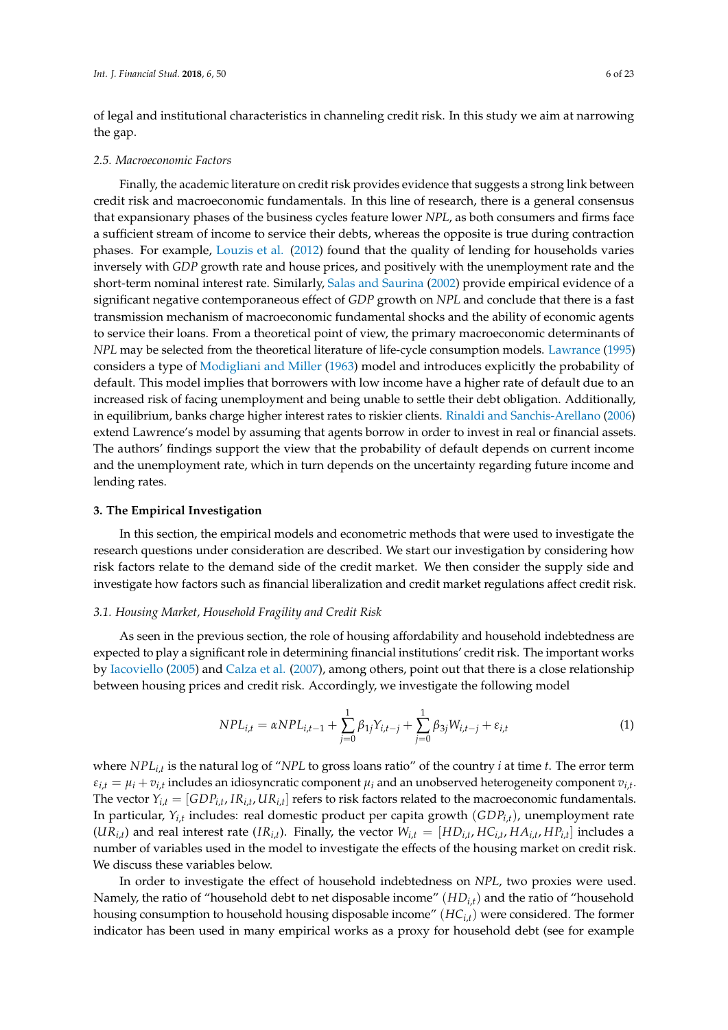of legal and institutional characteristics in channeling credit risk. In this study we aim at narrowing the gap.

#### *2.5. Macroeconomic Factors*

Finally, the academic literature on credit risk provides evidence that suggests a strong link between credit risk and macroeconomic fundamentals. In this line of research, there is a general consensus that expansionary phases of the business cycles feature lower *NPL*, as both consumers and firms face a sufficient stream of income to service their debts, whereas the opposite is true during contraction phases. For example, [Louzis et al.](#page-21-16) [\(2012\)](#page-21-16) found that the quality of lending for households varies inversely with *GDP* growth rate and house prices, and positively with the unemployment rate and the short-term nominal interest rate. Similarly, [Salas and Saurina](#page-22-6) [\(2002\)](#page-22-6) provide empirical evidence of a significant negative contemporaneous effect of *GDP* growth on *NPL* and conclude that there is a fast transmission mechanism of macroeconomic fundamental shocks and the ability of economic agents to service their loans. From a theoretical point of view, the primary macroeconomic determinants of *NPL* may be selected from the theoretical literature of life-cycle consumption models. [Lawrance](#page-21-17) [\(1995\)](#page-21-17) considers a type of [Modigliani and Miller](#page-22-7) [\(1963\)](#page-22-7) model and introduces explicitly the probability of default. This model implies that borrowers with low income have a higher rate of default due to an increased risk of facing unemployment and being unable to settle their debt obligation. Additionally, in equilibrium, banks charge higher interest rates to riskier clients. [Rinaldi and Sanchis-Arellano](#page-22-3) [\(2006\)](#page-22-3) extend Lawrence's model by assuming that agents borrow in order to invest in real or financial assets. The authors' findings support the view that the probability of default depends on current income and the unemployment rate, which in turn depends on the uncertainty regarding future income and lending rates.

#### <span id="page-5-0"></span>**3. The Empirical Investigation**

In this section, the empirical models and econometric methods that were used to investigate the research questions under consideration are described. We start our investigation by considering how risk factors relate to the demand side of the credit market. We then consider the supply side and investigate how factors such as financial liberalization and credit market regulations affect credit risk.

#### *3.1. Housing Market, Household Fragility and Credit Risk*

As seen in the previous section, the role of housing affordability and household indebtedness are expected to play a significant role in determining financial institutions' credit risk. The important works by [Iacoviello](#page-21-8) [\(2005\)](#page-21-8) and [Calza et al.](#page-21-9) [\(2007\)](#page-21-9), among others, point out that there is a close relationship between housing prices and credit risk. Accordingly, we investigate the following model

$$
NPL_{i,t} = \alpha NPL_{i,t-1} + \sum_{j=0}^{1} \beta_{1j} Y_{i,t-j} + \sum_{j=0}^{1} \beta_{3j} W_{i,t-j} + \varepsilon_{i,t}
$$
\n(1)

where *NPLi*,*<sup>t</sup>* is the natural log of "*NPL* to gross loans ratio" of the country *i* at time *t*. The error term  $\varepsilon_{i,t} = \mu_i + v_{i,t}$  includes an idiosyncratic component  $\mu_i$  and an unobserved heterogeneity component  $v_{i,t}$ . The vector  $Y_{i,t} = [GDP_{i,t}, IR_{i,t}, UR_{i,t}]$  refers to risk factors related to the macroeconomic fundamentals. In particular, *Yi*,*<sup>t</sup>* includes: real domestic product per capita growth (*GDPi*,*t*), unemployment rate  $(UR_{i,t})$  and real interest rate  $(IR_{i,t})$ . Finally, the vector  $W_{i,t} = [HD_{i,t}, HC_{i,t}, HA_{i,t}, HP_{i,t}]$  includes a number of variables used in the model to investigate the effects of the housing market on credit risk. We discuss these variables below.

In order to investigate the effect of household indebtedness on *NPL*, two proxies were used. Namely, the ratio of "household debt to net disposable income" (*HDi*,*t*) and the ratio of "household housing consumption to household housing disposable income" (*HCi*,*t*) were considered. The former indicator has been used in many empirical works as a proxy for household debt (see for example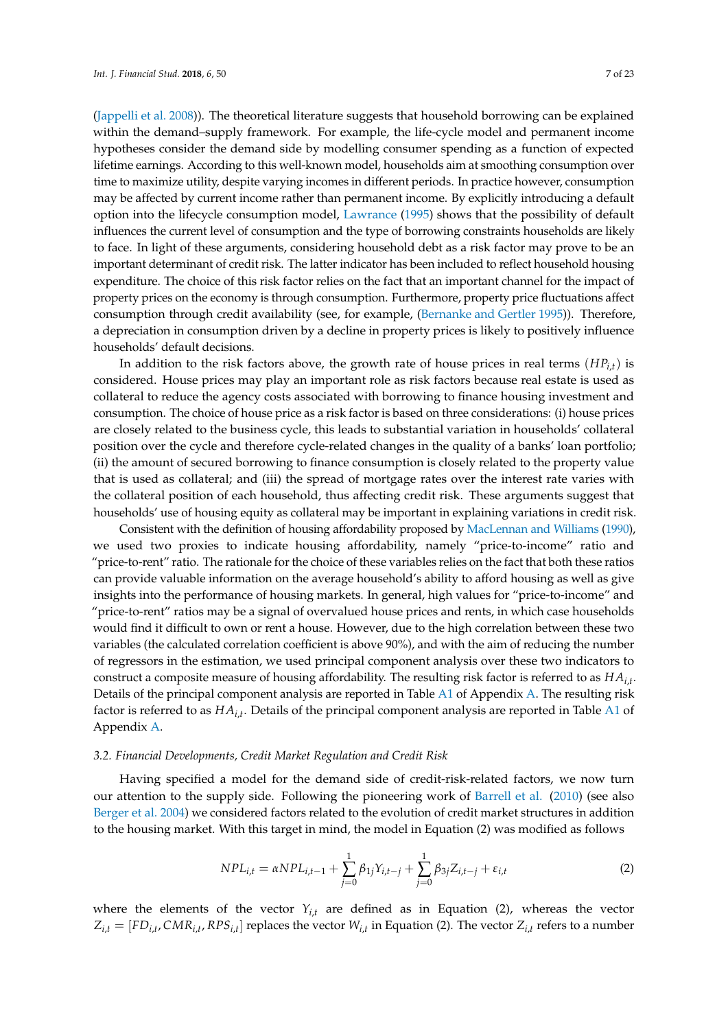[\(Jappelli et al.](#page-21-11) [2008\)](#page-21-11)). The theoretical literature suggests that household borrowing can be explained within the demand–supply framework. For example, the life-cycle model and permanent income hypotheses consider the demand side by modelling consumer spending as a function of expected lifetime earnings. According to this well-known model, households aim at smoothing consumption over time to maximize utility, despite varying incomes in different periods. In practice however, consumption may be affected by current income rather than permanent income. By explicitly introducing a default option into the lifecycle consumption model, [Lawrance](#page-21-17) [\(1995\)](#page-21-17) shows that the possibility of default influences the current level of consumption and the type of borrowing constraints households are likely to face. In light of these arguments, considering household debt as a risk factor may prove to be an important determinant of credit risk. The latter indicator has been included to reflect household housing expenditure. The choice of this risk factor relies on the fact that an important channel for the impact of property prices on the economy is through consumption. Furthermore, property price fluctuations affect consumption through credit availability (see, for example, [\(Bernanke and Gertler](#page-20-5) [1995\)](#page-20-5)). Therefore, a depreciation in consumption driven by a decline in property prices is likely to positively influence households' default decisions.

In addition to the risk factors above, the growth rate of house prices in real terms (*HPi*,*t*) is considered. House prices may play an important role as risk factors because real estate is used as collateral to reduce the agency costs associated with borrowing to finance housing investment and consumption. The choice of house price as a risk factor is based on three considerations: (i) house prices are closely related to the business cycle, this leads to substantial variation in households' collateral position over the cycle and therefore cycle-related changes in the quality of a banks' loan portfolio; (ii) the amount of secured borrowing to finance consumption is closely related to the property value that is used as collateral; and (iii) the spread of mortgage rates over the interest rate varies with the collateral position of each household, thus affecting credit risk. These arguments suggest that households' use of housing equity as collateral may be important in explaining variations in credit risk.

Consistent with the definition of housing affordability proposed by [MacLennan and Williams](#page-21-18) [\(1990\)](#page-21-18), we used two proxies to indicate housing affordability, namely "price-to-income" ratio and "price-to-rent" ratio. The rationale for the choice of these variables relies on the fact that both these ratios can provide valuable information on the average household's ability to afford housing as well as give insights into the performance of housing markets. In general, high values for "price-to-income" and "price-to-rent" ratios may be a signal of overvalued house prices and rents, in which case households would find it difficult to own or rent a house. However, due to the high correlation between these two variables (the calculated correlation coefficient is above 90%), and with the aim of reducing the number of regressors in the estimation, we used principal component analysis over these two indicators to construct a composite measure of housing affordability. The resulting risk factor is referred to as *HAi*,*<sup>t</sup>* . Details of the principal component analysis are reported in Table [A1](#page-19-0) of Appendix [A.](#page-19-1) The resulting risk factor is referred to as *HAi*,*<sup>t</sup>* . Details of the principal component analysis are reported in Table [A1](#page-19-0) of Appendix [A.](#page-19-1)

## *3.2. Financial Developments, Credit Market Regulation and Credit Risk*

Having specified a model for the demand side of credit-risk-related factors, we now turn our attention to the supply side. Following the pioneering work of [Barrell et al.](#page-20-6) [\(2010\)](#page-20-6) (see also [Berger et al.](#page-20-7) [2004\)](#page-20-7) we considered factors related to the evolution of credit market structures in addition to the housing market. With this target in mind, the model in Equation (2) was modified as follows

$$
NPL_{i,t} = \alpha NPL_{i,t-1} + \sum_{j=0}^{1} \beta_{1j} Y_{i,t-j} + \sum_{j=0}^{1} \beta_{3j} Z_{i,t-j} + \varepsilon_{i,t}
$$
 (2)

where the elements of the vector  $Y_{i,t}$  are defined as in Equation (2), whereas the vector  $Z_{i,t} = [FD_{i,t}, CMR_{i,t}, RPS_{i,t}]$  replaces the vector  $W_{i,t}$  in Equation (2). The vector  $Z_{i,t}$  refers to a number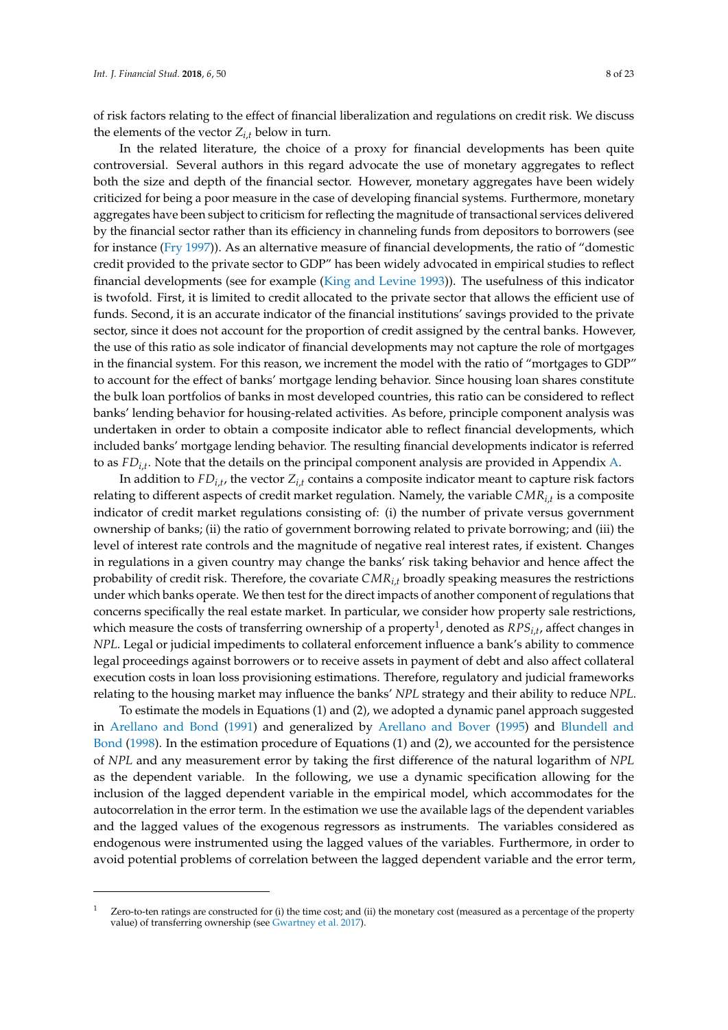of risk factors relating to the effect of financial liberalization and regulations on credit risk. We discuss the elements of the vector  $Z_{i,t}$  below in turn.

In the related literature, the choice of a proxy for financial developments has been quite controversial. Several authors in this regard advocate the use of monetary aggregates to reflect both the size and depth of the financial sector. However, monetary aggregates have been widely criticized for being a poor measure in the case of developing financial systems. Furthermore, monetary aggregates have been subject to criticism for reflecting the magnitude of transactional services delivered by the financial sector rather than its efficiency in channeling funds from depositors to borrowers (see for instance [\(Fry](#page-21-19) [1997\)](#page-21-19)). As an alternative measure of financial developments, the ratio of "domestic credit provided to the private sector to GDP" has been widely advocated in empirical studies to reflect financial developments (see for example [\(King and Levine](#page-21-20) [1993\)](#page-21-20)). The usefulness of this indicator is twofold. First, it is limited to credit allocated to the private sector that allows the efficient use of funds. Second, it is an accurate indicator of the financial institutions' savings provided to the private sector, since it does not account for the proportion of credit assigned by the central banks. However, the use of this ratio as sole indicator of financial developments may not capture the role of mortgages in the financial system. For this reason, we increment the model with the ratio of "mortgages to GDP" to account for the effect of banks' mortgage lending behavior. Since housing loan shares constitute the bulk loan portfolios of banks in most developed countries, this ratio can be considered to reflect banks' lending behavior for housing-related activities. As before, principle component analysis was undertaken in order to obtain a composite indicator able to reflect financial developments, which included banks' mortgage lending behavior. The resulting financial developments indicator is referred to as *FDi*,*<sup>t</sup>* . Note that the details on the principal component analysis are provided in Appendix [A.](#page-19-1)

In addition to  $FD_{i,t}$ , the vector  $Z_{i,t}$  contains a composite indicator meant to capture risk factors relating to different aspects of credit market regulation. Namely, the variable *CMRi*,*<sup>t</sup>* is a composite indicator of credit market regulations consisting of: (i) the number of private versus government ownership of banks; (ii) the ratio of government borrowing related to private borrowing; and (iii) the level of interest rate controls and the magnitude of negative real interest rates, if existent. Changes in regulations in a given country may change the banks' risk taking behavior and hence affect the probability of credit risk. Therefore, the covariate *CMRi*,*<sup>t</sup>* broadly speaking measures the restrictions under which banks operate. We then test for the direct impacts of another component of regulations that concerns specifically the real estate market. In particular, we consider how property sale restrictions, which measure the costs of transferring ownership of a property<sup>1</sup>, denoted as  $RPS_{i,t}$ , affect changes in *NPL*. Legal or judicial impediments to collateral enforcement influence a bank's ability to commence legal proceedings against borrowers or to receive assets in payment of debt and also affect collateral execution costs in loan loss provisioning estimations. Therefore, regulatory and judicial frameworks relating to the housing market may influence the banks' *NPL* strategy and their ability to reduce *NPL*.

To estimate the models in Equations (1) and (2), we adopted a dynamic panel approach suggested in [Arellano and Bond](#page-20-8) [\(1991\)](#page-20-8) and generalized by [Arellano and Bover](#page-20-9) [\(1995\)](#page-20-9) and [Blundell and](#page-20-10) [Bond](#page-20-10) [\(1998\)](#page-20-10). In the estimation procedure of Equations (1) and (2), we accounted for the persistence of *NPL* and any measurement error by taking the first difference of the natural logarithm of *NPL* as the dependent variable. In the following, we use a dynamic specification allowing for the inclusion of the lagged dependent variable in the empirical model, which accommodates for the autocorrelation in the error term. In the estimation we use the available lags of the dependent variables and the lagged values of the exogenous regressors as instruments. The variables considered as endogenous were instrumented using the lagged values of the variables. Furthermore, in order to avoid potential problems of correlation between the lagged dependent variable and the error term,

Zero-to-ten ratings are constructed for (i) the time cost; and (ii) the monetary cost (measured as a percentage of the property value) of transferring ownership (see [Gwartney et al.](#page-21-21) [2017\)](#page-21-21).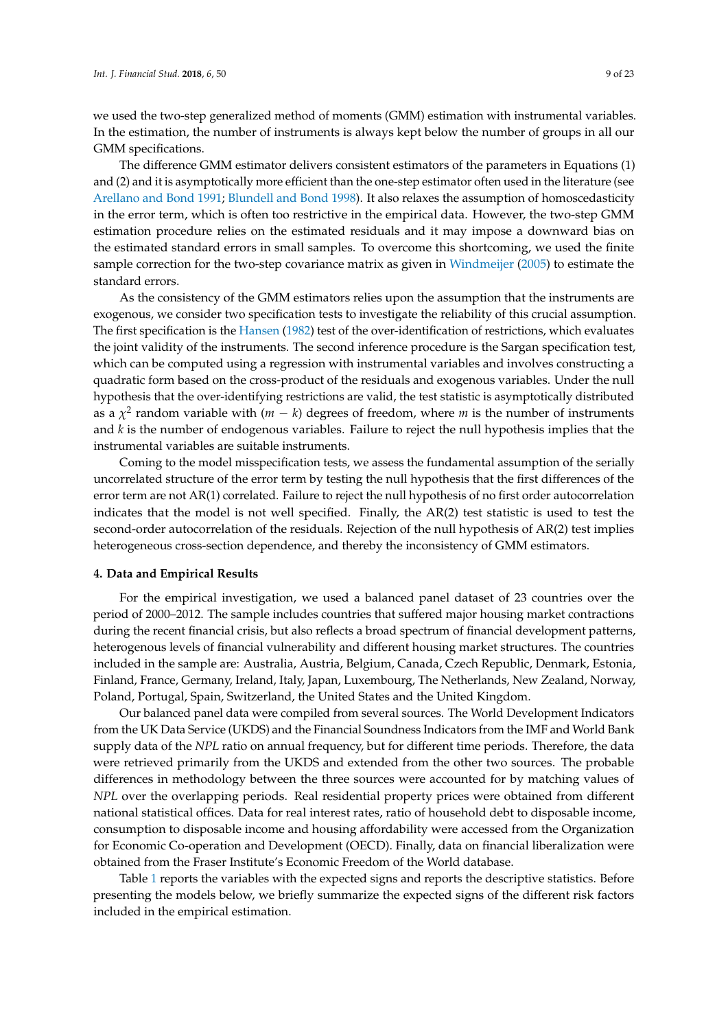we used the two-step generalized method of moments (GMM) estimation with instrumental variables. In the estimation, the number of instruments is always kept below the number of groups in all our GMM specifications.

The difference GMM estimator delivers consistent estimators of the parameters in Equations (1) and (2) and it is asymptotically more efficient than the one-step estimator often used in the literature (see [Arellano and Bond](#page-20-8) [1991;](#page-20-8) [Blundell and Bond](#page-20-10) [1998\)](#page-20-10). It also relaxes the assumption of homoscedasticity in the error term, which is often too restrictive in the empirical data. However, the two-step GMM estimation procedure relies on the estimated residuals and it may impose a downward bias on the estimated standard errors in small samples. To overcome this shortcoming, we used the finite sample correction for the two-step covariance matrix as given in [Windmeijer](#page-22-8) [\(2005\)](#page-22-8) to estimate the standard errors.

As the consistency of the GMM estimators relies upon the assumption that the instruments are exogenous, we consider two specification tests to investigate the reliability of this crucial assumption. The first specification is the [Hansen](#page-21-22) [\(1982\)](#page-21-22) test of the over-identification of restrictions, which evaluates the joint validity of the instruments. The second inference procedure is the Sargan specification test, which can be computed using a regression with instrumental variables and involves constructing a quadratic form based on the cross-product of the residuals and exogenous variables. Under the null hypothesis that the over-identifying restrictions are valid, the test statistic is asymptotically distributed as a  $\chi^2$  random variable with ( $m - k$ ) degrees of freedom, where  $m$  is the number of instruments and *k* is the number of endogenous variables. Failure to reject the null hypothesis implies that the instrumental variables are suitable instruments.

Coming to the model misspecification tests, we assess the fundamental assumption of the serially uncorrelated structure of the error term by testing the null hypothesis that the first differences of the error term are not AR(1) correlated. Failure to reject the null hypothesis of no first order autocorrelation indicates that the model is not well specified. Finally, the AR(2) test statistic is used to test the second-order autocorrelation of the residuals. Rejection of the null hypothesis of AR(2) test implies heterogeneous cross-section dependence, and thereby the inconsistency of GMM estimators.

#### <span id="page-8-0"></span>**4. Data and Empirical Results**

For the empirical investigation, we used a balanced panel dataset of 23 countries over the period of 2000–2012. The sample includes countries that suffered major housing market contractions during the recent financial crisis, but also reflects a broad spectrum of financial development patterns, heterogenous levels of financial vulnerability and different housing market structures. The countries included in the sample are: Australia, Austria, Belgium, Canada, Czech Republic, Denmark, Estonia, Finland, France, Germany, Ireland, Italy, Japan, Luxembourg, The Netherlands, New Zealand, Norway, Poland, Portugal, Spain, Switzerland, the United States and the United Kingdom.

Our balanced panel data were compiled from several sources. The World Development Indicators from the UK Data Service (UKDS) and the Financial Soundness Indicators from the IMF and World Bank supply data of the *NPL* ratio on annual frequency, but for different time periods. Therefore, the data were retrieved primarily from the UKDS and extended from the other two sources. The probable differences in methodology between the three sources were accounted for by matching values of *NPL* over the overlapping periods. Real residential property prices were obtained from different national statistical offices. Data for real interest rates, ratio of household debt to disposable income, consumption to disposable income and housing affordability were accessed from the Organization for Economic Co-operation and Development (OECD). Finally, data on financial liberalization were obtained from the Fraser Institute's Economic Freedom of the World database.

Table [1](#page-9-0) reports the variables with the expected signs and reports the descriptive statistics. Before presenting the models below, we briefly summarize the expected signs of the different risk factors included in the empirical estimation.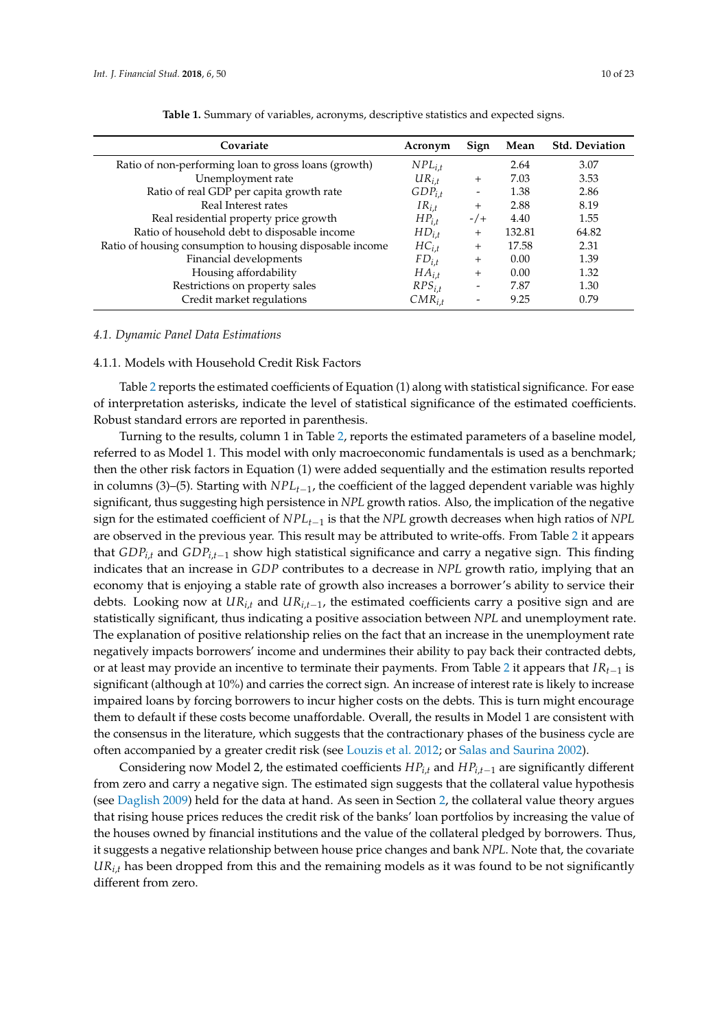<span id="page-9-0"></span>

| Acronym     | Sign                     | Mean   | <b>Std. Deviation</b> |
|-------------|--------------------------|--------|-----------------------|
| $NPL_{i.t}$ |                          | 2.64   | 3.07                  |
| $UR_{i.t.}$ | $^{+}$                   | 7.03   | 3.53                  |
| $GDP_{i.t}$ |                          | 1.38   | 2.86                  |
| $IR_{i.t.}$ | $^{+}$                   | 2.88   | 8.19                  |
| $HP_{i.t.}$ | $-/-$                    | 4.40   | 1.55                  |
| $HD_{i.t.}$ | $^{+}$                   | 132.81 | 64.82                 |
| $HC_{i.t.}$ | $^{+}$                   | 17.58  | 2.31                  |
| $FD_{i.t}$  | $^{+}$                   | 0.00   | 1.39                  |
| $HA_{i.t}$  | $^{+}$                   | 0.00   | 1.32                  |
| $RPS_{i,t}$ | $\overline{\phantom{0}}$ | 7.87   | 1.30                  |
| $CMR_{i,t}$ |                          | 9.25   | 0.79                  |
|             |                          |        |                       |

#### *4.1. Dynamic Panel Data Estimations*

#### 4.1.1. Models with Household Credit Risk Factors

Table [2](#page-10-0) reports the estimated coefficients of Equation (1) along with statistical significance. For ease of interpretation asterisks, indicate the level of statistical significance of the estimated coefficients. Robust standard errors are reported in parenthesis.

Turning to the results, column 1 in Table [2,](#page-10-0) reports the estimated parameters of a baseline model, referred to as Model 1. This model with only macroeconomic fundamentals is used as a benchmark; then the other risk factors in Equation (1) were added sequentially and the estimation results reported in columns (3)–(5). Starting with *NPLt*−1, the coefficient of the lagged dependent variable was highly significant, thus suggesting high persistence in *NPL* growth ratios. Also, the implication of the negative sign for the estimated coefficient of *NPLt*−<sup>1</sup> is that the *NPL* growth decreases when high ratios of *NPL* are observed in the previous year. This result may be attributed to write-offs. From Table [2](#page-10-0) it appears that *GDPi*,*<sup>t</sup>* and *GDPi*,*t*−<sup>1</sup> show high statistical significance and carry a negative sign. This finding indicates that an increase in *GDP* contributes to a decrease in *NPL* growth ratio, implying that an economy that is enjoying a stable rate of growth also increases a borrower's ability to service their debts. Looking now at *URi*,*<sup>t</sup>* and *URi*,*t*−<sup>1</sup> , the estimated coefficients carry a positive sign and are statistically significant, thus indicating a positive association between *NPL* and unemployment rate. The explanation of positive relationship relies on the fact that an increase in the unemployment rate negatively impacts borrowers' income and undermines their ability to pay back their contracted debts, or at least may provide an incentive to terminate their payments. From Table [2](#page-10-0) it appears that *IRt*−<sup>1</sup> is significant (although at 10%) and carries the correct sign. An increase of interest rate is likely to increase impaired loans by forcing borrowers to incur higher costs on the debts. This is turn might encourage them to default if these costs become unaffordable. Overall, the results in Model 1 are consistent with the consensus in the literature, which suggests that the contractionary phases of the business cycle are often accompanied by a greater credit risk (see [Louzis et al.](#page-21-16) [2012;](#page-21-16) or [Salas and Saurina](#page-22-6) [2002\)](#page-22-6).

Considering now Model 2, the estimated coefficients  $HP_{i,t}$  and  $HP_{i,t-1}$  are significantly different from zero and carry a negative sign. The estimated sign suggests that the collateral value hypothesis (see [Daglish](#page-21-7) [2009\)](#page-21-7) held for the data at hand. As seen in Section [2,](#page-2-0) the collateral value theory argues that rising house prices reduces the credit risk of the banks' loan portfolios by increasing the value of the houses owned by financial institutions and the value of the collateral pledged by borrowers. Thus, it suggests a negative relationship between house price changes and bank *NPL*. Note that, the covariate *URi*,*<sup>t</sup>* has been dropped from this and the remaining models as it was found to be not significantly different from zero.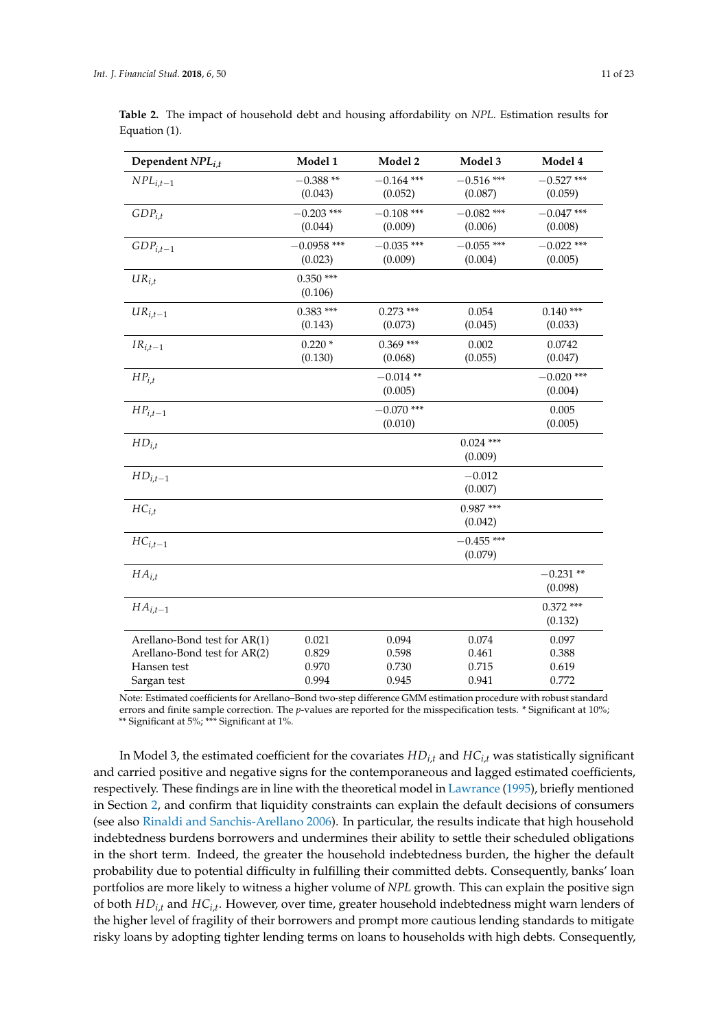| Dependent NPL <sub>i.t</sub> | Model 1                  | Model 2                 | Model 3                 | Model 4                 |
|------------------------------|--------------------------|-------------------------|-------------------------|-------------------------|
| $NPL_{i,t-1}$                | $-0.388**$<br>(0.043)    | $-0.164$ ***<br>(0.052) | $-0.516$ ***<br>(0.087) | $-0.527$ ***<br>(0.059) |
| $GDP_{i,t}$                  | $-0.203$ ***<br>(0.044)  | $-0.108$ ***<br>(0.009) | $-0.082$ ***<br>(0.006) | $-0.047$ ***<br>(0.008) |
| $GDP_{i,t-1}$                | $-0.0958$ ***<br>(0.023) | $-0.035$ ***<br>(0.009) | $-0.055$ ***<br>(0.004) | $-0.022$ ***<br>(0.005) |
| $UR_{i.t}$                   | $0.350***$<br>(0.106)    |                         |                         |                         |
| $UR_{i,t-1}$                 | $0.383***$<br>(0.143)    | $0.273$ ***<br>(0.073)  | 0.054<br>(0.045)        | $0.140***$<br>(0.033)   |
| $IR_{i,t-1}$                 | $0.220*$<br>(0.130)      | $0.369***$<br>(0.068)   | 0.002<br>(0.055)        | 0.0742<br>(0.047)       |
| $HP_{i.t}$                   |                          | $-0.014**$<br>(0.005)   |                         | $-0.020$ ***<br>(0.004) |
| ${\cal HP}_{i,t-1}$          |                          | $-0.070$ ***<br>(0.010) |                         | 0.005<br>(0.005)        |
| $HD_{i.t}$                   |                          |                         | $0.024$ ***<br>(0.009)  |                         |
| $HD_{i,t-1}$                 |                          |                         | $-0.012$<br>(0.007)     |                         |
| $HC_{i,t}$                   |                          |                         | $0.987***$<br>(0.042)   |                         |
| $HC_{i,t-1}$                 |                          |                         | $-0.455$ ***<br>(0.079) |                         |
| $HA_{i.t}$                   |                          |                         |                         | $-0.231**$<br>(0.098)   |
| $HA_{i,t-1}$                 |                          |                         |                         | $0.372$ ***<br>(0.132)  |
| Arellano-Bond test for AR(1) | 0.021                    | 0.094                   | 0.074                   | 0.097                   |
| Arellano-Bond test for AR(2) | 0.829                    | 0.598                   | 0.461                   | 0.388                   |
| Hansen test                  | 0.970                    | 0.730                   | 0.715                   | 0.619                   |
| Sargan test                  | 0.994                    | 0.945                   | 0.941                   | 0.772                   |

<span id="page-10-0"></span>**Table 2.** The impact of household debt and housing affordability on *NPL*. Estimation results for Equation (1).

Note: Estimated coefficients for Arellano–Bond two-step difference GMM estimation procedure with robust standard errors and finite sample correction. The *p*-values are reported for the misspecification tests. \* Significant at 10%; \*\* Significant at 5%; \*\*\* Significant at 1%.

In Model 3, the estimated coefficient for the covariates *HDi*,*<sup>t</sup>* and *HCi*,*<sup>t</sup>* was statistically significant and carried positive and negative signs for the contemporaneous and lagged estimated coefficients, respectively. These findings are in line with the theoretical model in [Lawrance](#page-21-17) [\(1995\)](#page-21-17), briefly mentioned in Section [2,](#page-2-0) and confirm that liquidity constraints can explain the default decisions of consumers (see also [Rinaldi and Sanchis-Arellano](#page-22-3) [2006\)](#page-22-3). In particular, the results indicate that high household indebtedness burdens borrowers and undermines their ability to settle their scheduled obligations in the short term. Indeed, the greater the household indebtedness burden, the higher the default probability due to potential difficulty in fulfilling their committed debts. Consequently, banks' loan portfolios are more likely to witness a higher volume of *NPL* growth. This can explain the positive sign of both *HDi*,*<sup>t</sup>* and *HCi*,*<sup>t</sup>* . However, over time, greater household indebtedness might warn lenders of the higher level of fragility of their borrowers and prompt more cautious lending standards to mitigate risky loans by adopting tighter lending terms on loans to households with high debts. Consequently,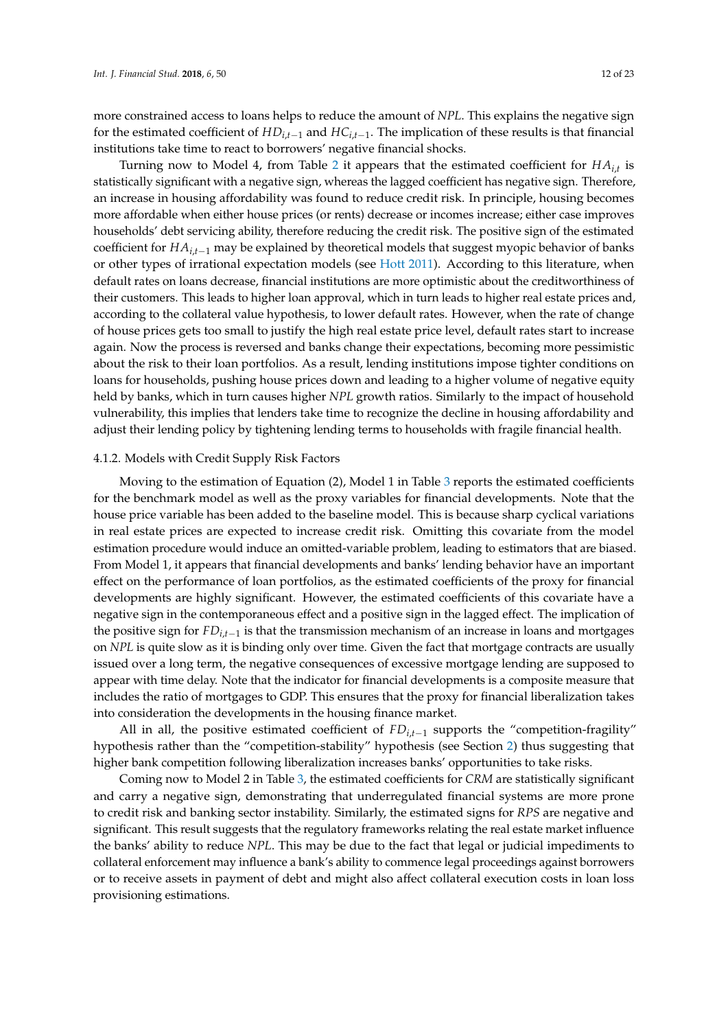more constrained access to loans helps to reduce the amount of *NPL*. This explains the negative sign for the estimated coefficient of *HDi*,*t*−<sup>1</sup> and *HCi*,*t*−<sup>1</sup> . The implication of these results is that financial institutions take time to react to borrowers' negative financial shocks.

Turning now to Model 4, from Table [2](#page-10-0) it appears that the estimated coefficient for *HAi*,*<sup>t</sup>* is statistically significant with a negative sign, whereas the lagged coefficient has negative sign. Therefore, an increase in housing affordability was found to reduce credit risk. In principle, housing becomes more affordable when either house prices (or rents) decrease or incomes increase; either case improves households' debt servicing ability, therefore reducing the credit risk. The positive sign of the estimated coefficient for *HAi*,*t*−<sup>1</sup> may be explained by theoretical models that suggest myopic behavior of banks or other types of irrational expectation models (see [Hott](#page-21-5) [2011\)](#page-21-5). According to this literature, when default rates on loans decrease, financial institutions are more optimistic about the creditworthiness of their customers. This leads to higher loan approval, which in turn leads to higher real estate prices and, according to the collateral value hypothesis, to lower default rates. However, when the rate of change of house prices gets too small to justify the high real estate price level, default rates start to increase again. Now the process is reversed and banks change their expectations, becoming more pessimistic about the risk to their loan portfolios. As a result, lending institutions impose tighter conditions on loans for households, pushing house prices down and leading to a higher volume of negative equity held by banks, which in turn causes higher *NPL* growth ratios. Similarly to the impact of household vulnerability, this implies that lenders take time to recognize the decline in housing affordability and adjust their lending policy by tightening lending terms to households with fragile financial health.

#### 4.1.2. Models with Credit Supply Risk Factors

Moving to the estimation of Equation (2), Model 1 in Table [3](#page-12-0) reports the estimated coefficients for the benchmark model as well as the proxy variables for financial developments. Note that the house price variable has been added to the baseline model. This is because sharp cyclical variations in real estate prices are expected to increase credit risk. Omitting this covariate from the model estimation procedure would induce an omitted-variable problem, leading to estimators that are biased. From Model 1, it appears that financial developments and banks' lending behavior have an important effect on the performance of loan portfolios, as the estimated coefficients of the proxy for financial developments are highly significant. However, the estimated coefficients of this covariate have a negative sign in the contemporaneous effect and a positive sign in the lagged effect. The implication of the positive sign for *FDi*,*t*−<sup>1</sup> is that the transmission mechanism of an increase in loans and mortgages on *NPL* is quite slow as it is binding only over time. Given the fact that mortgage contracts are usually issued over a long term, the negative consequences of excessive mortgage lending are supposed to appear with time delay. Note that the indicator for financial developments is a composite measure that includes the ratio of mortgages to GDP. This ensures that the proxy for financial liberalization takes into consideration the developments in the housing finance market.

All in all, the positive estimated coefficient of *FDi*,*t*−<sup>1</sup> supports the "competition-fragility" hypothesis rather than the "competition-stability" hypothesis (see Section [2\)](#page-2-0) thus suggesting that higher bank competition following liberalization increases banks' opportunities to take risks.

Coming now to Model 2 in Table [3,](#page-12-0) the estimated coefficients for *CRM* are statistically significant and carry a negative sign, demonstrating that underregulated financial systems are more prone to credit risk and banking sector instability. Similarly, the estimated signs for *RPS* are negative and significant. This result suggests that the regulatory frameworks relating the real estate market influence the banks' ability to reduce *NPL*. This may be due to the fact that legal or judicial impediments to collateral enforcement may influence a bank's ability to commence legal proceedings against borrowers or to receive assets in payment of debt and might also affect collateral execution costs in loan loss provisioning estimations.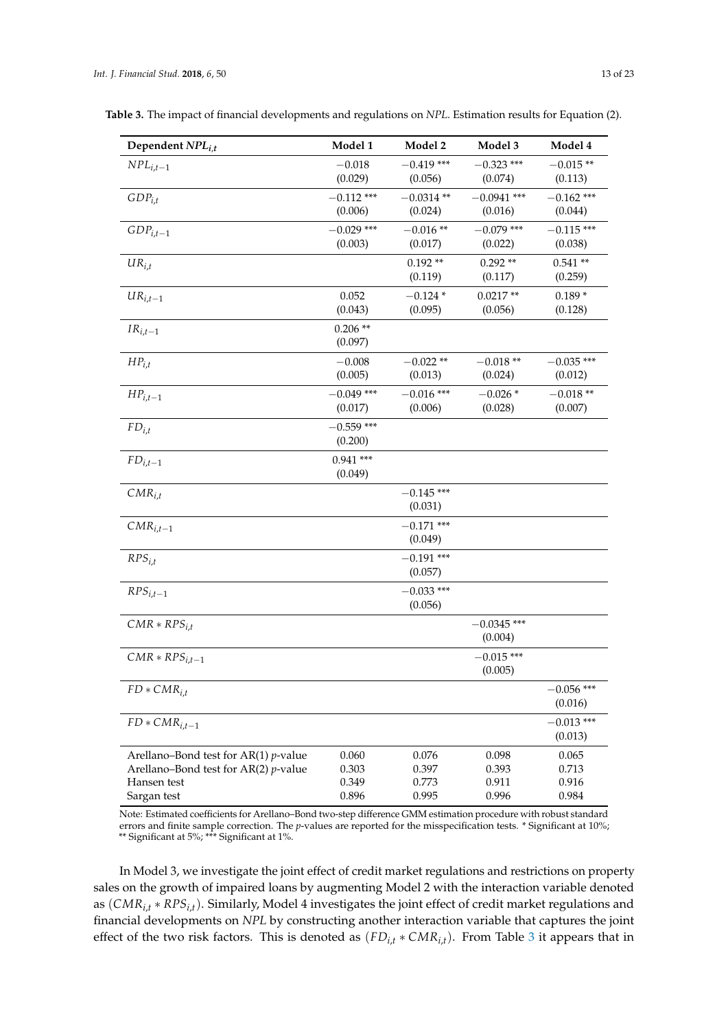| Dependent $NPL_{i,t}$                                                                                            | Model 1                          | Model 2                          | Model 3                          | Model 4                          |
|------------------------------------------------------------------------------------------------------------------|----------------------------------|----------------------------------|----------------------------------|----------------------------------|
| $NPL_{i,t-1}$                                                                                                    | $-0.018$<br>(0.029)              | $-0.419$ ***<br>(0.056)          | $-0.323$ ***<br>(0.074)          | $-0.015**$<br>(0.113)            |
| $GDP_{i,t}$                                                                                                      | $-0.112$ ***<br>(0.006)          | $-0.0314**$<br>(0.024)           | $-0.0941$ ***<br>(0.016)         | $-0.162$ ***<br>(0.044)          |
| $GDP_{i,t-1}$                                                                                                    | $-0.029$ ***<br>(0.003)          | $-0.016**$<br>(0.017)            | $-0.079$ ***<br>(0.022)          | $-0.115$ ***<br>(0.038)          |
| $UR_{i,t}$                                                                                                       |                                  | $0.192**$<br>(0.119)             | $0.292**$<br>(0.117)             | $0.541**$<br>(0.259)             |
| $UR_{i,t-1}$                                                                                                     | 0.052<br>(0.043)                 | $-0.124*$<br>(0.095)             | $0.0217**$<br>(0.056)            | $0.189*$<br>(0.128)              |
| $IR_{i,t-1}$                                                                                                     | $0.206**$<br>(0.097)             |                                  |                                  |                                  |
| $HP_{i,t}$                                                                                                       | $-0.008$<br>(0.005)              | $-0.022**$<br>(0.013)            | $-0.018**$<br>(0.024)            | $-0.035$ ***<br>(0.012)          |
| $HP_{i,t-1}$                                                                                                     | $-0.049$ ***<br>(0.017)          | $-0.016$ ***<br>(0.006)          | $-0.026*$<br>(0.028)             | $-0.018**$<br>(0.007)            |
| $FD_{i,t}$                                                                                                       | $-0.559$ ***<br>(0.200)          |                                  |                                  |                                  |
| ${\cal FD}_{i,t-1}$                                                                                              | $0.941***$<br>(0.049)            |                                  |                                  |                                  |
| $CMR_{i,t}$                                                                                                      |                                  | $-0.145$ ***<br>(0.031)          |                                  |                                  |
| $CMR_{i,t-1}$                                                                                                    |                                  | $-0.171$ ***<br>(0.049)          |                                  |                                  |
| $RPS_{i,t}$                                                                                                      |                                  | $-0.191$ ***<br>(0.057)          |                                  |                                  |
| $RPS_{i,t-1}$                                                                                                    |                                  | $-0.033$ ***<br>(0.056)          |                                  |                                  |
| $CMR * RPS_{i,t}$                                                                                                |                                  |                                  | $-0.0345$ ***<br>(0.004)         |                                  |
| $CMR * RPS$ <sub>i.t-1</sub>                                                                                     |                                  |                                  | $-0.015$ ***<br>(0.005)          |                                  |
| $FD * CMR_{i,t}$                                                                                                 |                                  |                                  |                                  | $-0.056$ ***<br>(0.016)          |
| $FD * CMR_{i,t-1}$                                                                                               |                                  |                                  |                                  | $-0.013$ ***<br>(0.013)          |
| Arellano-Bond test for AR(1) $p$ -value<br>Arellano-Bond test for AR(2) $p$ -value<br>Hansen test<br>Sargan test | 0.060<br>0.303<br>0.349<br>0.896 | 0.076<br>0.397<br>0.773<br>0.995 | 0.098<br>0.393<br>0.911<br>0.996 | 0.065<br>0.713<br>0.916<br>0.984 |

<span id="page-12-0"></span>**Table 3.** The impact of financial developments and regulations on *NPL*. Estimation results for Equation (2).

Note: Estimated coefficients for Arellano–Bond two-step difference GMM estimation procedure with robust standard errors and finite sample correction. The *p*-values are reported for the misspecification tests. \* Significant at 10%; \*\* Significant at 5%; \*\*\* Significant at 1%.

In Model 3, we investigate the joint effect of credit market regulations and restrictions on property sales on the growth of impaired loans by augmenting Model 2 with the interaction variable denoted as (*CMRi*,*<sup>t</sup>* ∗ *RPSi*,*t*). Similarly, Model 4 investigates the joint effect of credit market regulations and financial developments on *NPL* by constructing another interaction variable that captures the joint effect of the two risk factors. This is denoted as (*FDi*,*<sup>t</sup>* ∗ *CMRi*,*t*). From Table [3](#page-12-0) it appears that in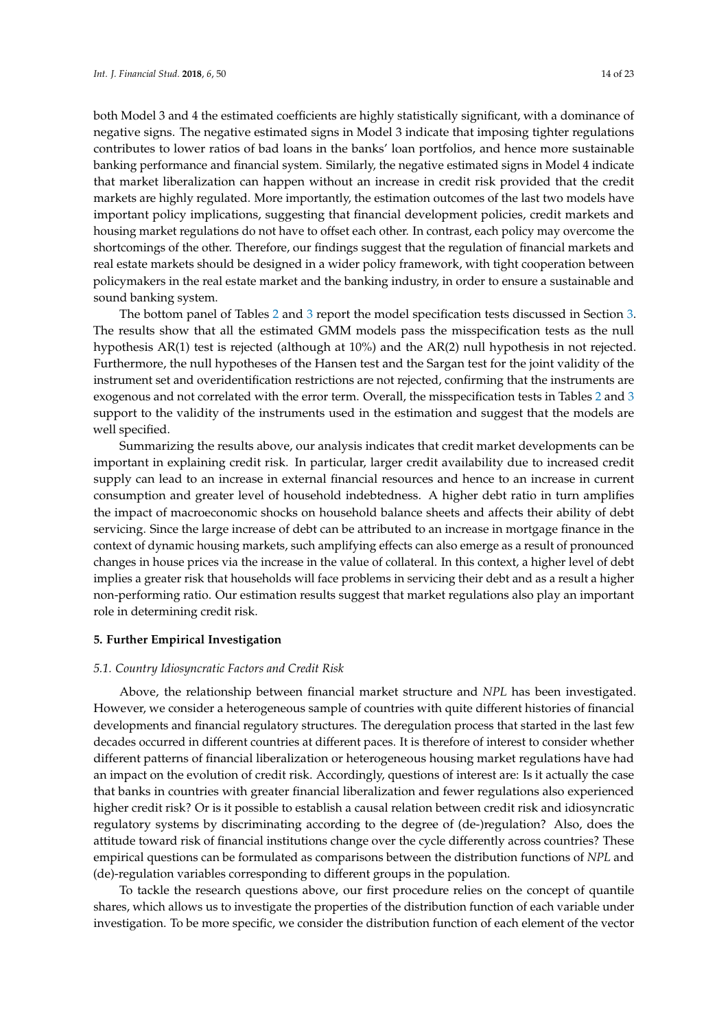both Model 3 and 4 the estimated coefficients are highly statistically significant, with a dominance of negative signs. The negative estimated signs in Model 3 indicate that imposing tighter regulations contributes to lower ratios of bad loans in the banks' loan portfolios, and hence more sustainable banking performance and financial system. Similarly, the negative estimated signs in Model 4 indicate that market liberalization can happen without an increase in credit risk provided that the credit markets are highly regulated. More importantly, the estimation outcomes of the last two models have important policy implications, suggesting that financial development policies, credit markets and housing market regulations do not have to offset each other. In contrast, each policy may overcome the shortcomings of the other. Therefore, our findings suggest that the regulation of financial markets and real estate markets should be designed in a wider policy framework, with tight cooperation between policymakers in the real estate market and the banking industry, in order to ensure a sustainable and sound banking system.

The bottom panel of Tables [2](#page-10-0) and [3](#page-12-0) report the model specification tests discussed in Section [3.](#page-5-0) The results show that all the estimated GMM models pass the misspecification tests as the null hypothesis AR(1) test is rejected (although at 10%) and the AR(2) null hypothesis in not rejected. Furthermore, the null hypotheses of the Hansen test and the Sargan test for the joint validity of the instrument set and overidentification restrictions are not rejected, confirming that the instruments are exogenous and not correlated with the error term. Overall, the misspecification tests in Tables [2](#page-10-0) and [3](#page-12-0) support to the validity of the instruments used in the estimation and suggest that the models are well specified.

Summarizing the results above, our analysis indicates that credit market developments can be important in explaining credit risk. In particular, larger credit availability due to increased credit supply can lead to an increase in external financial resources and hence to an increase in current consumption and greater level of household indebtedness. A higher debt ratio in turn amplifies the impact of macroeconomic shocks on household balance sheets and affects their ability of debt servicing. Since the large increase of debt can be attributed to an increase in mortgage finance in the context of dynamic housing markets, such amplifying effects can also emerge as a result of pronounced changes in house prices via the increase in the value of collateral. In this context, a higher level of debt implies a greater risk that households will face problems in servicing their debt and as a result a higher non-performing ratio. Our estimation results suggest that market regulations also play an important role in determining credit risk.

#### <span id="page-13-0"></span>**5. Further Empirical Investigation**

#### *5.1. Country Idiosyncratic Factors and Credit Risk*

Above, the relationship between financial market structure and *NPL* has been investigated. However, we consider a heterogeneous sample of countries with quite different histories of financial developments and financial regulatory structures. The deregulation process that started in the last few decades occurred in different countries at different paces. It is therefore of interest to consider whether different patterns of financial liberalization or heterogeneous housing market regulations have had an impact on the evolution of credit risk. Accordingly, questions of interest are: Is it actually the case that banks in countries with greater financial liberalization and fewer regulations also experienced higher credit risk? Or is it possible to establish a causal relation between credit risk and idiosyncratic regulatory systems by discriminating according to the degree of (de-)regulation? Also, does the attitude toward risk of financial institutions change over the cycle differently across countries? These empirical questions can be formulated as comparisons between the distribution functions of *NPL* and (de)-regulation variables corresponding to different groups in the population.

To tackle the research questions above, our first procedure relies on the concept of quantile shares, which allows us to investigate the properties of the distribution function of each variable under investigation. To be more specific, we consider the distribution function of each element of the vector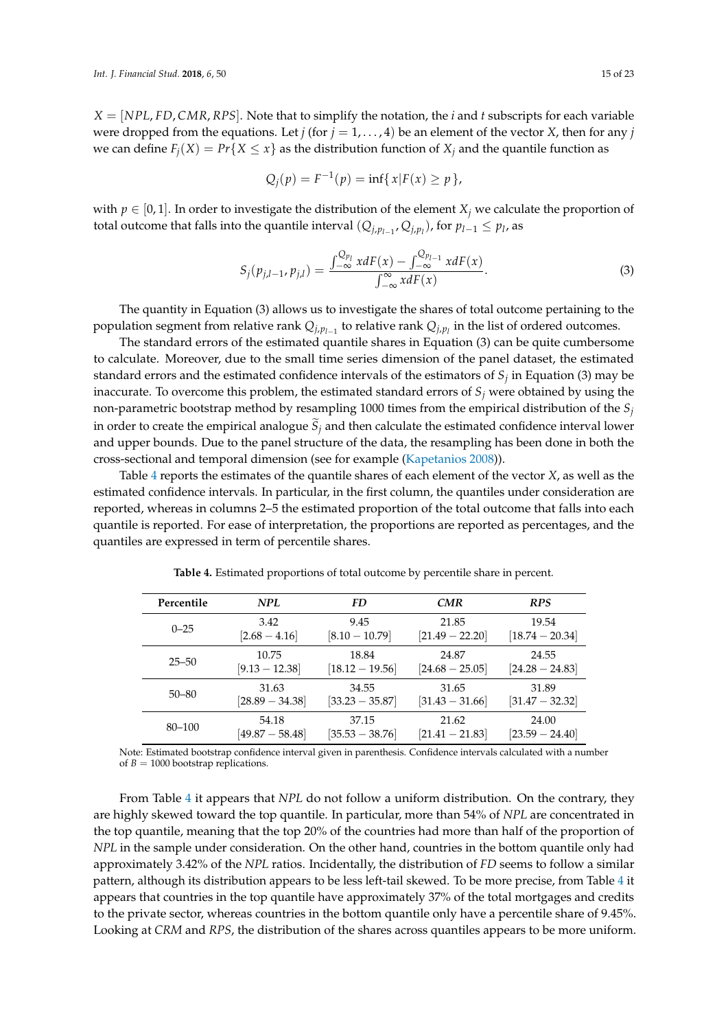*X* = [*NPL*, *FD*, *CMR*, *RPS*]. Note that to simplify the notation, the *i* and *t* subscripts for each variable were dropped from the equations. Let *j* (for  $j = 1, \ldots, 4$ ) be an element of the vector *X*, then for any *j* we can define  $F_i(X) = Pr\{X \le x\}$  as the distribution function of  $X_i$  and the quantile function as

$$
Q_j(p) = F^{-1}(p) = \inf\{x | F(x) \ge p\},\
$$

with  $p \in [0, 1]$ . In order to investigate the distribution of the element  $X_i$  we calculate the proportion of total outcome that falls into the quantile interval  $(Q_{j,p_{l-1}}, Q_{j,p_l})$ , for  $p_{l-1} \leq p_l$ , as

$$
S_j(p_{j,l-1}, p_{j,l}) = \frac{\int_{-\infty}^{Q_{p_l}} x dF(x) - \int_{-\infty}^{Q_{p_{l-1}}} x dF(x)}{\int_{-\infty}^{\infty} x dF(x)}.
$$
 (3)

The quantity in Equation (3) allows us to investigate the shares of total outcome pertaining to the population segment from relative rank  $Q_{j,p_{l-1}}$  to relative rank  $Q_{j,p_l}$  in the list of ordered outcomes.

The standard errors of the estimated quantile shares in Equation (3) can be quite cumbersome to calculate. Moreover, due to the small time series dimension of the panel dataset, the estimated standard errors and the estimated confidence intervals of the estimators of *S<sup>j</sup>* in Equation (3) may be inaccurate. To overcome this problem, the estimated standard errors of *S<sup>j</sup>* were obtained by using the non-parametric bootstrap method by resampling 1000 times from the empirical distribution of the *S<sup>j</sup>* in order to create the empirical analogue  $S_j$  and then calculate the estimated confidence interval lower and upper bounds. Due to the panel structure of the data, the resampling has been done in both the cross-sectional and temporal dimension (see for example [\(Kapetanios](#page-21-23) [2008\)](#page-21-23)).

Table [4](#page-14-0) reports the estimates of the quantile shares of each element of the vector *X*, as well as the estimated confidence intervals. In particular, in the first column, the quantiles under consideration are reported, whereas in columns 2–5 the estimated proportion of the total outcome that falls into each quantile is reported. For ease of interpretation, the proportions are reported as percentages, and the quantiles are expressed in term of percentile shares.

<span id="page-14-0"></span>

| Percentile | NPL               | <b>FD</b>         | <b>CMR</b>                 | <b>RPS</b>        |
|------------|-------------------|-------------------|----------------------------|-------------------|
| $0 - 25$   | 3.42              | 9.45              | 21.85                      | 19.54             |
|            | $[2.68 - 4.16]$   | $[8.10 - 10.79]$  | $[21.49 - 22.20]$          | $[18.74 - 20.34]$ |
| $25 - 50$  | 10.75             | 18.84             | 24.87                      | 24.55             |
|            | $[9.13 - 12.38]$  | $[18.12 - 19.56]$ | $[24.68 - 25.05]$          | $[24.28 - 24.83]$ |
| $50 - 80$  | 31.63             | 34.55             | 31.65                      | 31.89             |
|            | $[28.89 - 34.38]$ | $[33.23 - 35.87]$ | $[31.43 - 31.66]$          | $[31.47 - 32.32]$ |
| 80-100     | 54.18             | 37.15             | 21.62                      | 24.00             |
|            | $[49.87 - 58.48]$ | $[35.53 - 38.76]$ | $\left[21.41-21.83\right]$ | $[23.59 - 24.40]$ |

**Table 4.** Estimated proportions of total outcome by percentile share in percent.

Note: Estimated bootstrap confidence interval given in parenthesis. Confidence intervals calculated with a number of  $B = 1000$  bootstrap replications.

From Table [4](#page-14-0) it appears that *NPL* do not follow a uniform distribution. On the contrary, they are highly skewed toward the top quantile. In particular, more than 54% of *NPL* are concentrated in the top quantile, meaning that the top 20% of the countries had more than half of the proportion of *NPL* in the sample under consideration. On the other hand, countries in the bottom quantile only had approximately 3.42% of the *NPL* ratios. Incidentally, the distribution of *FD* seems to follow a similar pattern, although its distribution appears to be less left-tail skewed. To be more precise, from Table [4](#page-14-0) it appears that countries in the top quantile have approximately 37% of the total mortgages and credits to the private sector, whereas countries in the bottom quantile only have a percentile share of 9.45%. Looking at *CRM* and *RPS*, the distribution of the shares across quantiles appears to be more uniform.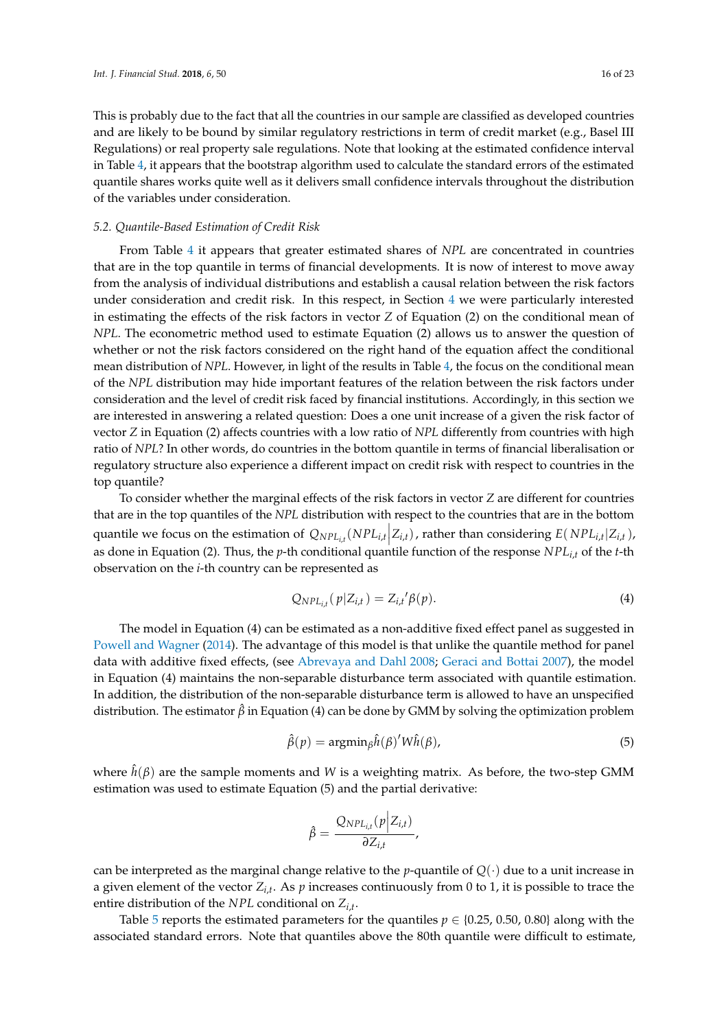This is probably due to the fact that all the countries in our sample are classified as developed countries and are likely to be bound by similar regulatory restrictions in term of credit market (e.g., Basel III Regulations) or real property sale regulations. Note that looking at the estimated confidence interval in Table [4,](#page-14-0) it appears that the bootstrap algorithm used to calculate the standard errors of the estimated quantile shares works quite well as it delivers small confidence intervals throughout the distribution of the variables under consideration.

## *5.2. Quantile-Based Estimation of Credit Risk*

From Table [4](#page-14-0) it appears that greater estimated shares of *NPL* are concentrated in countries that are in the top quantile in terms of financial developments. It is now of interest to move away from the analysis of individual distributions and establish a causal relation between the risk factors under consideration and credit risk. In this respect, in Section [4](#page-8-0) we were particularly interested in estimating the effects of the risk factors in vector *Z* of Equation (2) on the conditional mean of *NPL*. The econometric method used to estimate Equation (2) allows us to answer the question of whether or not the risk factors considered on the right hand of the equation affect the conditional mean distribution of *NPL*. However, in light of the results in Table [4,](#page-14-0) the focus on the conditional mean of the *NPL* distribution may hide important features of the relation between the risk factors under consideration and the level of credit risk faced by financial institutions. Accordingly, in this section we are interested in answering a related question: Does a one unit increase of a given the risk factor of vector *Z* in Equation (2) affects countries with a low ratio of *NPL* differently from countries with high ratio of *NPL*? In other words, do countries in the bottom quantile in terms of financial liberalisation or regulatory structure also experience a different impact on credit risk with respect to countries in the top quantile?

To consider whether the marginal effects of the risk factors in vector *Z* are different for countries that are in the top quantiles of the *NPL* distribution with respect to the countries that are in the bottom quantile we focus on the estimation of  $Q_{NPL_{i,t}}(NPL_{i,t} | Z_{i,t})$ , rather than considering  $E(NPL_{i,t} | Z_{i,t})$ , as done in Equation (2). Thus, the *p*-th conditional quantile function of the response *NPLi*,*<sup>t</sup>* of the *t*-th observation on the *i*-th country can be represented as

$$
Q_{NPL_{i,t}}(p|Z_{i,t}) = Z_{i,t}'\beta(p).
$$
 (4)

The model in Equation (4) can be estimated as a non-additive fixed effect panel as suggested in [Powell and Wagner](#page-22-9) [\(2014\)](#page-22-9). The advantage of this model is that unlike the quantile method for panel data with additive fixed effects, (see [Abrevaya and Dahl](#page-20-11) [2008;](#page-20-11) [Geraci and Bottai](#page-21-24) [2007\)](#page-21-24), the model in Equation (4) maintains the non-separable disturbance term associated with quantile estimation. In addition, the distribution of the non-separable disturbance term is allowed to have an unspecified distribution. The estimator  $\hat{\beta}$  in Equation (4) can be done by GMM by solving the optimization problem

$$
\hat{\beta}(p) = \operatorname{argmin}_{\beta} \hat{h}(\beta)' W \hat{h}(\beta), \tag{5}
$$

where  $\hat{h}(\beta)$  are the sample moments and *W* is a weighting matrix. As before, the two-step GMM estimation was used to estimate Equation (5) and the partial derivative:

$$
\hat{\beta} = \frac{Q_{NPL_{i,t}}(p|Z_{i,t})}{\partial Z_{i,t}},
$$

can be interpreted as the marginal change relative to the *p*-quantile of  $Q(\cdot)$  due to a unit increase in a given element of the vector *Zi*,*<sup>t</sup>* . As *p* increases continuously from 0 to 1, it is possible to trace the entire distribution of the *NPL* conditional on *Zi*,*<sup>t</sup>* .

Table [5](#page-16-0) reports the estimated parameters for the quantiles  $p \in \{0.25, 0.50, 0.80\}$  along with the associated standard errors. Note that quantiles above the 80th quantile were difficult to estimate,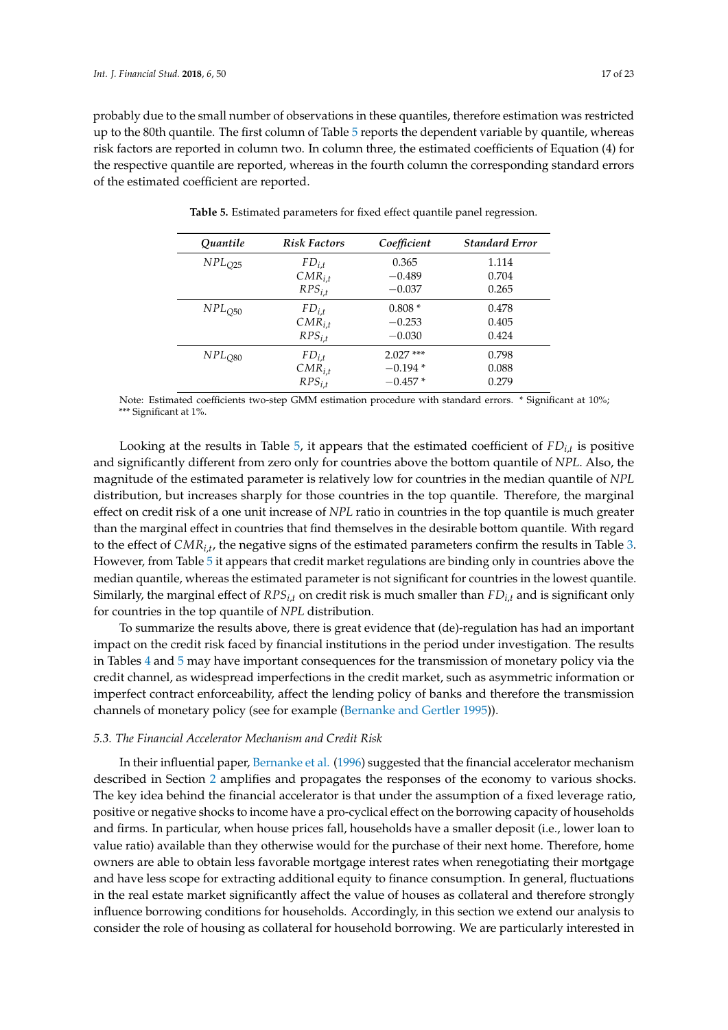<span id="page-16-0"></span>probably due to the small number of observations in these quantiles, therefore estimation was restricted up to the 80th quantile. The first column of Table [5](#page-16-0) reports the dependent variable by quantile, whereas risk factors are reported in column two. In column three, the estimated coefficients of Equation (4) for the respective quantile are reported, whereas in the fourth column the corresponding standard errors of the estimated coefficient are reported.

| Quantile    | <b>Risk Factors</b> | Coefficient | <b>Standard Error</b> |
|-------------|---------------------|-------------|-----------------------|
| $NPL_{O25}$ | $FD_{i,t}$          | 0.365       | 1.114                 |
|             | $CMR_{i,t}$         | $-0.489$    | 0.704                 |
|             | $RPS_{i,t}$         | $-0.037$    | 0.265                 |
| $NPL_{Q50}$ | $FD_{i.t}$          | $0.808*$    | 0.478                 |
|             | $CMR_{i,t}$         | $-0.253$    | 0.405                 |
|             | $RPS_{i,t}$         | $-0.030$    | 0.424                 |
| $NPL_{O80}$ | $FD_{i.t}$          | $2.027***$  | 0.798                 |
|             | $CMR_{i,t}$         | $-0.194*$   | 0.088                 |
|             | $RPS_{i.t}$         | $-0.457$ *  | 0.279                 |

**Table 5.** Estimated parameters for fixed effect quantile panel regression.

Note: Estimated coefficients two-step GMM estimation procedure with standard errors. \* Significant at 10%; \*\*\* Significant at 1%.

Looking at the results in Table [5,](#page-16-0) it appears that the estimated coefficient of *FDi*,*<sup>t</sup>* is positive and significantly different from zero only for countries above the bottom quantile of *NPL*. Also, the magnitude of the estimated parameter is relatively low for countries in the median quantile of *NPL* distribution, but increases sharply for those countries in the top quantile. Therefore, the marginal effect on credit risk of a one unit increase of *NPL* ratio in countries in the top quantile is much greater than the marginal effect in countries that find themselves in the desirable bottom quantile. With regard to the effect of *CMRi*,*<sup>t</sup>* , the negative signs of the estimated parameters confirm the results in Table [3.](#page-12-0) However, from Table [5](#page-16-0) it appears that credit market regulations are binding only in countries above the median quantile, whereas the estimated parameter is not significant for countries in the lowest quantile. Similarly, the marginal effect of *RPSi*,*<sup>t</sup>* on credit risk is much smaller than *FDi*,*<sup>t</sup>* and is significant only for countries in the top quantile of *NPL* distribution.

To summarize the results above, there is great evidence that (de)-regulation has had an important impact on the credit risk faced by financial institutions in the period under investigation. The results in Tables [4](#page-14-0) and [5](#page-16-0) may have important consequences for the transmission of monetary policy via the credit channel, as widespread imperfections in the credit market, such as asymmetric information or imperfect contract enforceability, affect the lending policy of banks and therefore the transmission channels of monetary policy (see for example [\(Bernanke and Gertler](#page-20-5) [1995\)](#page-20-5)).

#### *5.3. The Financial Accelerator Mechanism and Credit Risk*

In their influential paper, [Bernanke et al.](#page-20-1) [\(1996\)](#page-20-1) suggested that the financial accelerator mechanism described in Section [2](#page-2-0) amplifies and propagates the responses of the economy to various shocks. The key idea behind the financial accelerator is that under the assumption of a fixed leverage ratio, positive or negative shocks to income have a pro-cyclical effect on the borrowing capacity of households and firms. In particular, when house prices fall, households have a smaller deposit (i.e., lower loan to value ratio) available than they otherwise would for the purchase of their next home. Therefore, home owners are able to obtain less favorable mortgage interest rates when renegotiating their mortgage and have less scope for extracting additional equity to finance consumption. In general, fluctuations in the real estate market significantly affect the value of houses as collateral and therefore strongly influence borrowing conditions for households. Accordingly, in this section we extend our analysis to consider the role of housing as collateral for household borrowing. We are particularly interested in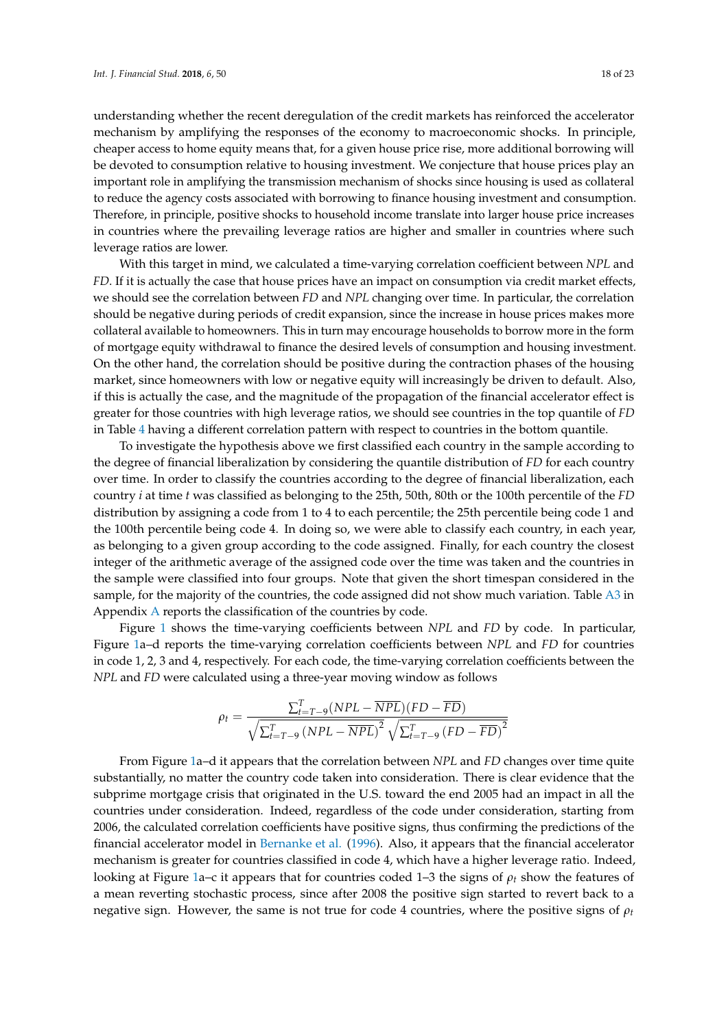understanding whether the recent deregulation of the credit markets has reinforced the accelerator mechanism by amplifying the responses of the economy to macroeconomic shocks. In principle, cheaper access to home equity means that, for a given house price rise, more additional borrowing will be devoted to consumption relative to housing investment. We conjecture that house prices play an important role in amplifying the transmission mechanism of shocks since housing is used as collateral to reduce the agency costs associated with borrowing to finance housing investment and consumption. Therefore, in principle, positive shocks to household income translate into larger house price increases in countries where the prevailing leverage ratios are higher and smaller in countries where such leverage ratios are lower.

With this target in mind, we calculated a time-varying correlation coefficient between *NPL* and *FD*. If it is actually the case that house prices have an impact on consumption via credit market effects, we should see the correlation between *FD* and *NPL* changing over time. In particular, the correlation should be negative during periods of credit expansion, since the increase in house prices makes more collateral available to homeowners. This in turn may encourage households to borrow more in the form of mortgage equity withdrawal to finance the desired levels of consumption and housing investment. On the other hand, the correlation should be positive during the contraction phases of the housing market, since homeowners with low or negative equity will increasingly be driven to default. Also, if this is actually the case, and the magnitude of the propagation of the financial accelerator effect is greater for those countries with high leverage ratios, we should see countries in the top quantile of *FD* in Table [4](#page-14-0) having a different correlation pattern with respect to countries in the bottom quantile.

To investigate the hypothesis above we first classified each country in the sample according to the degree of financial liberalization by considering the quantile distribution of *FD* for each country over time. In order to classify the countries according to the degree of financial liberalization, each country *i* at time *t* was classified as belonging to the 25th, 50th, 80th or the 100th percentile of the *FD* distribution by assigning a code from 1 to 4 to each percentile; the 25th percentile being code 1 and the 100th percentile being code 4. In doing so, we were able to classify each country, in each year, as belonging to a given group according to the code assigned. Finally, for each country the closest integer of the arithmetic average of the assigned code over the time was taken and the countries in the sample were classified into four groups. Note that given the short timespan considered in the sample, for the majority of the countries, the code assigned did not show much variation. Table [A3](#page-20-12) in Appendix [A](#page-19-1) reports the classification of the countries by code.

Figure [1](#page-18-1) shows the time-varying coefficients between *NPL* and *FD* by code. In particular, Figure [1a](#page-18-1)–d reports the time-varying correlation coefficients between *NPL* and *FD* for countries in code 1, 2, 3 and 4, respectively. For each code, the time-varying correlation coefficients between the *NPL* and *FD* were calculated using a three-year moving window as follows

$$
\rho_t = \frac{\sum_{t=T-9}^{T} (NPL - \overline{NPL})(FD - \overline{FD})}{\sqrt{\sum_{t=T-9}^{T} (NPL - \overline{NPL})^2} \sqrt{\sum_{t=T-9}^{T} (FD - \overline{FD})^2}}
$$

From Figure [1a](#page-18-1)–d it appears that the correlation between *NPL* and *FD* changes over time quite substantially, no matter the country code taken into consideration. There is clear evidence that the subprime mortgage crisis that originated in the U.S. toward the end 2005 had an impact in all the countries under consideration. Indeed, regardless of the code under consideration, starting from 2006, the calculated correlation coefficients have positive signs, thus confirming the predictions of the financial accelerator model in [Bernanke et al.](#page-20-1) [\(1996\)](#page-20-1). Also, it appears that the financial accelerator mechanism is greater for countries classified in code 4, which have a higher leverage ratio. Indeed, looking at Figure [1a](#page-18-1)–c it appears that for countries coded 1–3 the signs of *ρ<sup>t</sup>* show the features of a mean reverting stochastic process, since after 2008 the positive sign started to revert back to a negative sign. However, the same is not true for code 4 countries, where the positive signs of *ρ<sup>t</sup>*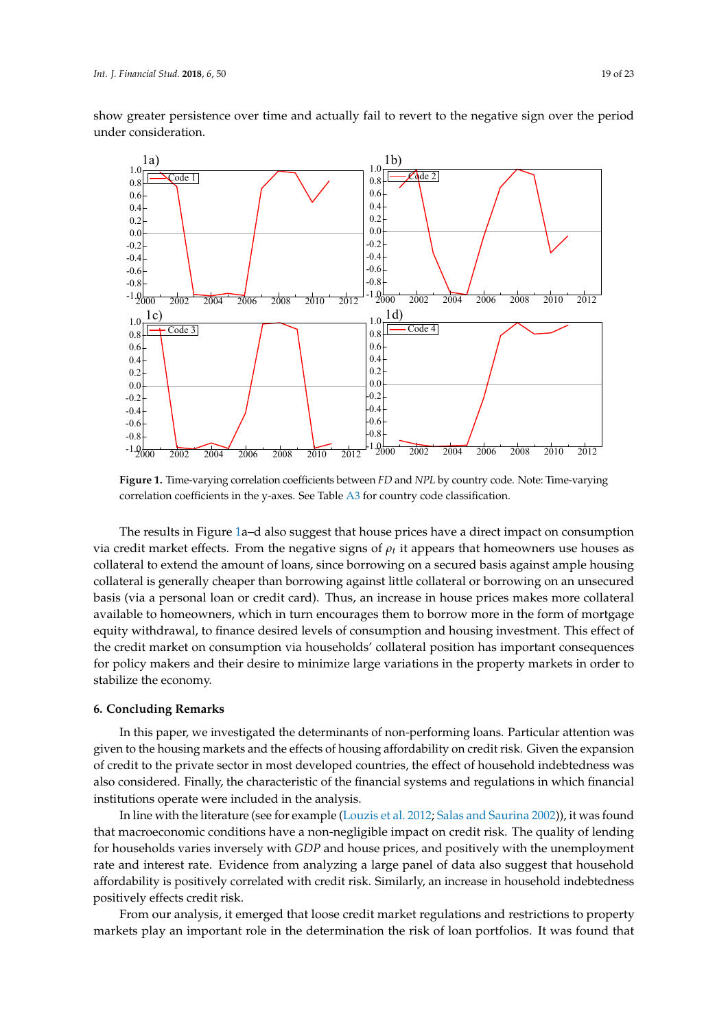show greater persistence over time and actually fail to revert to the negative sign over the period under consideration.

<span id="page-18-1"></span>

correlation coefficients in the y-axes. See Table [A3](#page-20-12) for country code classification. **Figure 1.** Time-varying correlation coefficients between *FD* and *NPL* by country code. Note: Time-varying

varying correlation coefficients in the y-axes. See Table A3 for country code classification.

The results in Figure 1a–d also suggest that house prices have a direct impact on consumption The results in Figure [1a](#page-18-1)–d also suggest that house prices have a direct impact on consumption via credit market effects. From the negative signs of  $\rho_t$  it appears that homeowners use houses as  $\mu$ collateral to extend the amount of loans, since borrowing on a secured basis against ample housing collateral to extend the amount of loans, since borrowing on a secured basis against ample housing collateral is generally cheaper than borrowing against little collateral or borrowing on an unsecured collateral is generally cheaper than borrowing against little collateral or borrowing on an unsecured basis (via a personal loan or credit card). Thus, an increase in house prices makes more collateral basis (via a personal loan or credit card). Thus, an increase in house prices makes more collateral available to homeowners, which in turn encourages them to borrow more in the form of mortgage in the form of mortgage equity withdrawal, to finance desired levels of consumption and housing investment. This effect of the credit market on consumption via households' collateral position has important consequences for policy makers and their desire to minimize large variations in the property markets in order to the little stabilize the economy. stabilize the economy.

#### <span id="page-18-0"></span>**6. Concluding Remarks**

In this paper, we investigated the determinants of non-performing loans. Particular attention was given to the housing markets and the effects of housing affordability on credit risk. Given the expansion of credit to the private sector in most developed countries, the effect of household indebtedness was also considered. Finally, the characteristic of the financial systems and regulations in which financial institutions operate were included in the analysis.

In line with the literature (see for example [\(Louzis et al.](#page-21-16) [2012;](#page-21-16) [Salas and Saurina](#page-22-6) [2002\)](#page-22-6)), it was found that macroeconomic conditions have a non-negligible impact on credit risk. The quality of lending for households varies inversely with *GDP* and house prices, and positively with the unemployment rate and interest rate. Evidence from analyzing a large panel of data also suggest that household affordability is positively correlated with credit risk. Similarly, an increase in household indebtedness positively effects credit risk.

From our analysis, it emerged that loose credit market regulations and restrictions to property markets play an important role in the determination the risk of loan portfolios. It was found that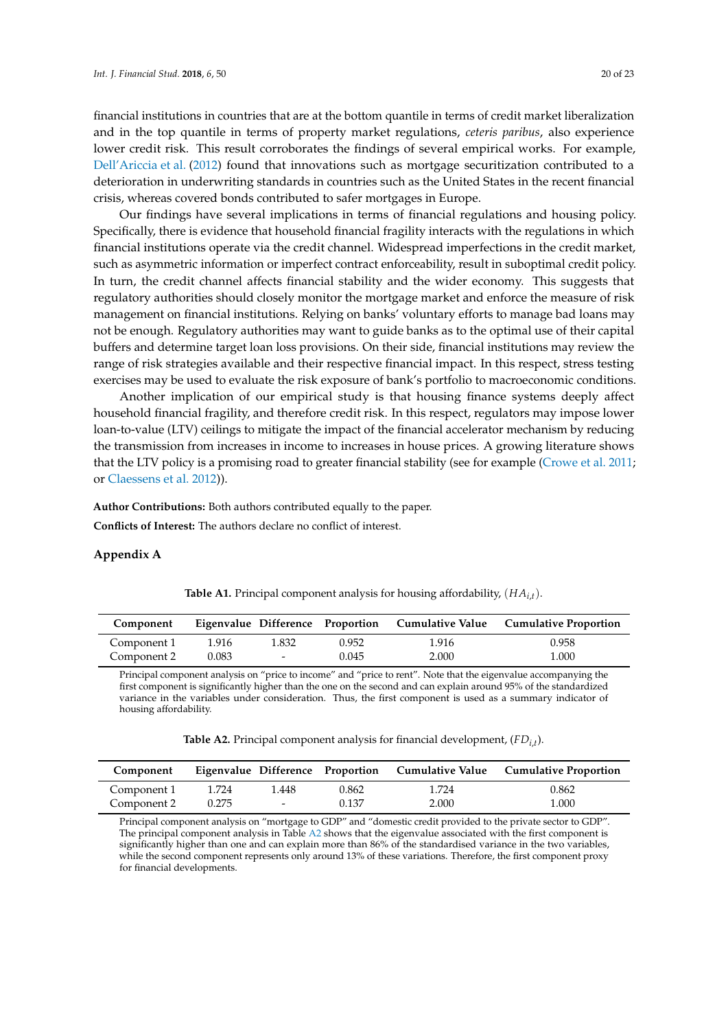financial institutions in countries that are at the bottom quantile in terms of credit market liberalization and in the top quantile in terms of property market regulations, *ceteris paribus*, also experience lower credit risk. This result corroborates the findings of several empirical works. For example, [Dell'Ariccia et al.](#page-21-3) [\(2012\)](#page-21-3) found that innovations such as mortgage securitization contributed to a deterioration in underwriting standards in countries such as the United States in the recent financial crisis, whereas covered bonds contributed to safer mortgages in Europe.

Our findings have several implications in terms of financial regulations and housing policy. Specifically, there is evidence that household financial fragility interacts with the regulations in which financial institutions operate via the credit channel. Widespread imperfections in the credit market, such as asymmetric information or imperfect contract enforceability, result in suboptimal credit policy. In turn, the credit channel affects financial stability and the wider economy. This suggests that regulatory authorities should closely monitor the mortgage market and enforce the measure of risk management on financial institutions. Relying on banks' voluntary efforts to manage bad loans may not be enough. Regulatory authorities may want to guide banks as to the optimal use of their capital buffers and determine target loan loss provisions. On their side, financial institutions may review the range of risk strategies available and their respective financial impact. In this respect, stress testing exercises may be used to evaluate the risk exposure of bank's portfolio to macroeconomic conditions.

Another implication of our empirical study is that housing finance systems deeply affect household financial fragility, and therefore credit risk. In this respect, regulators may impose lower loan-to-value (LTV) ceilings to mitigate the impact of the financial accelerator mechanism by reducing the transmission from increases in income to increases in house prices. A growing literature shows that the LTV policy is a promising road to greater financial stability (see for example [\(Crowe et al.](#page-21-25) [2011;](#page-21-25) or [Claessens et al.](#page-21-26) [2012\)](#page-21-26)).

**Author Contributions:** Both authors contributed equally to the paper.

**Conflicts of Interest:** The authors declare no conflict of interest.

#### <span id="page-19-1"></span><span id="page-19-0"></span>**Appendix A**

| Component   |       |                          |       |       | Eigenvalue Difference Proportion Cumulative Value Cumulative Proportion |
|-------------|-------|--------------------------|-------|-------|-------------------------------------------------------------------------|
| Component 1 | 1.916 | 1.832                    | 0.952 | 1.916 | 0.958                                                                   |
| Component 2 | 0.083 | $\overline{\phantom{0}}$ | 0.045 | 2.000 | 1.000                                                                   |

**Table A1.** Principal component analysis for housing affordability, (*HAi*,*<sup>t</sup>* ).

Principal component analysis on "price to income" and "price to rent". Note that the eigenvalue accompanying the first component is significantly higher than the one on the second and can explain around 95% of the standardized variance in the variables under consideration. Thus, the first component is used as a summary indicator of housing affordability.

| <b>Table A2.</b> Principal component analysis for financial development, $(FD_{i,t})$ . |  |  |
|-----------------------------------------------------------------------------------------|--|--|
|-----------------------------------------------------------------------------------------|--|--|

<span id="page-19-2"></span>

| Component   |       |        |       |       | Eigenvalue Difference Proportion Cumulative Value Cumulative Proportion |
|-------------|-------|--------|-------|-------|-------------------------------------------------------------------------|
| Component 1 | 1.724 | 1.448  | 0.862 | 1.724 | 0.862                                                                   |
| Component 2 | 0.275 | $\sim$ | 0.137 | 2.000 | 1.000                                                                   |

Principal component analysis on "mortgage to GDP" and "domestic credit provided to the private sector to GDP". The principal component analysis in Table [A2](#page-19-2) shows that the eigenvalue associated with the first component is significantly higher than one and can explain more than 86% of the standardised variance in the two variables, while the second component represents only around 13% of these variations. Therefore, the first component proxy for financial developments.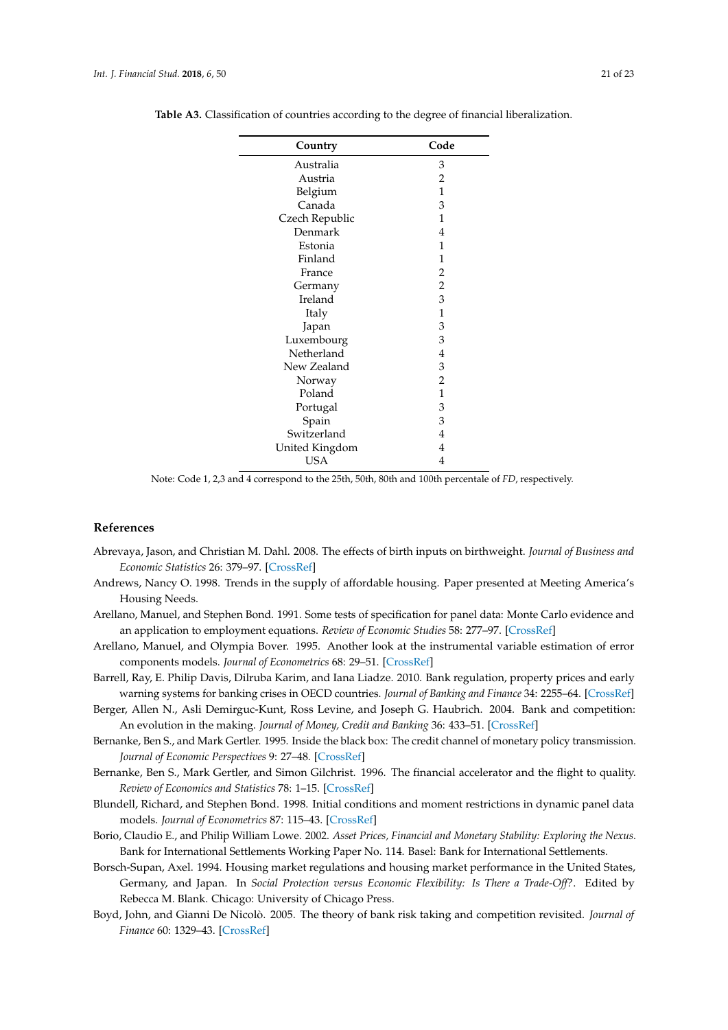| Country        | Code           |
|----------------|----------------|
| Australia      | 3              |
| Austria        | $\overline{c}$ |
| Belgium        | $\mathbf{1}$   |
| Canada         | 3              |
| Czech Republic | $\mathbf{1}$   |
| Denmark        | 4              |
| Estonia        | 1              |
| Finland        | $\mathbf{1}$   |
| France         | $\overline{c}$ |
| Germany        | $\overline{c}$ |
| Ireland        | 3              |
| Italy          | $\mathbf{1}$   |
| Japan          | 3              |
| Luxembourg     | 3              |
| Netherland     | $\overline{4}$ |
| New Zealand    | 3              |
| Norway         | $\overline{2}$ |
| Poland         | $\mathbf{1}$   |
| Portugal       | 3              |
| Spain          | 3              |
| Switzerland    | 4              |
| United Kingdom | 4              |
| <b>USA</b>     | 4              |

<span id="page-20-12"></span>**Table A3.** Classification of countries according to the degree of financial liberalization.

Note: Code 1, 2,3 and 4 correspond to the 25th, 50th, 80th and 100th percentale of *FD*, respectively.

## **References**

- <span id="page-20-11"></span>Abrevaya, Jason, and Christian M. Dahl. 2008. The effects of birth inputs on birthweight. *Journal of Business and Economic Statistics* 26: 379–97. [\[CrossRef\]](http://dx.doi.org/10.1198/073500107000000269)
- <span id="page-20-0"></span>Andrews, Nancy O. 1998. Trends in the supply of affordable housing. Paper presented at Meeting America's Housing Needs.
- <span id="page-20-8"></span>Arellano, Manuel, and Stephen Bond. 1991. Some tests of specification for panel data: Monte Carlo evidence and an application to employment equations. *Review of Economic Studies* 58: 277–97. [\[CrossRef\]](http://dx.doi.org/10.2307/2297968)
- <span id="page-20-9"></span>Arellano, Manuel, and Olympia Bover. 1995. Another look at the instrumental variable estimation of error components models. *Journal of Econometrics* 68: 29–51. [\[CrossRef\]](http://dx.doi.org/10.1016/0304-4076(94)01642-D)
- <span id="page-20-6"></span>Barrell, Ray, E. Philip Davis, Dilruba Karim, and Iana Liadze. 2010. Bank regulation, property prices and early warning systems for banking crises in OECD countries. *Journal of Banking and Finance* 34: 2255–64. [\[CrossRef\]](http://dx.doi.org/10.1016/j.jbankfin.2010.02.015)
- <span id="page-20-7"></span>Berger, Allen N., Asli Demirguc-Kunt, Ross Levine, and Joseph G. Haubrich. 2004. Bank and competition: An evolution in the making. *Journal of Money, Credit and Banking* 36: 433–51. [\[CrossRef\]](http://dx.doi.org/10.1353/mcb.2004.0040)
- <span id="page-20-5"></span>Bernanke, Ben S., and Mark Gertler. 1995. Inside the black box: The credit channel of monetary policy transmission. *Journal of Economic Perspectives* 9: 27–48. [\[CrossRef\]](http://dx.doi.org/10.1257/jep.9.4.27)
- <span id="page-20-1"></span>Bernanke, Ben S., Mark Gertler, and Simon Gilchrist. 1996. The financial accelerator and the flight to quality. *Review of Economics and Statistics* 78: 1–15. [\[CrossRef\]](http://dx.doi.org/10.2307/2109844)
- <span id="page-20-10"></span>Blundell, Richard, and Stephen Bond. 1998. Initial conditions and moment restrictions in dynamic panel data models. *Journal of Econometrics* 87: 115–43. [\[CrossRef\]](http://dx.doi.org/10.1016/S0304-4076(98)00009-8)
- <span id="page-20-2"></span>Borio, Claudio E., and Philip William Lowe. 2002. *Asset Prices, Financial and Monetary Stability: Exploring the Nexus*. Bank for International Settlements Working Paper No. 114. Basel: Bank for International Settlements.
- <span id="page-20-4"></span>Borsch-Supan, Axel. 1994. Housing market regulations and housing market performance in the United States, Germany, and Japan. In *Social Protection versus Economic Flexibility: Is There a Trade-Off?*. Edited by Rebecca M. Blank. Chicago: University of Chicago Press.
- <span id="page-20-3"></span>Boyd, John, and Gianni De Nicolò. 2005. The theory of bank risk taking and competition revisited. *Journal of Finance* 60: 1329–43. [\[CrossRef\]](http://dx.doi.org/10.1111/j.1540-6261.2005.00763.x)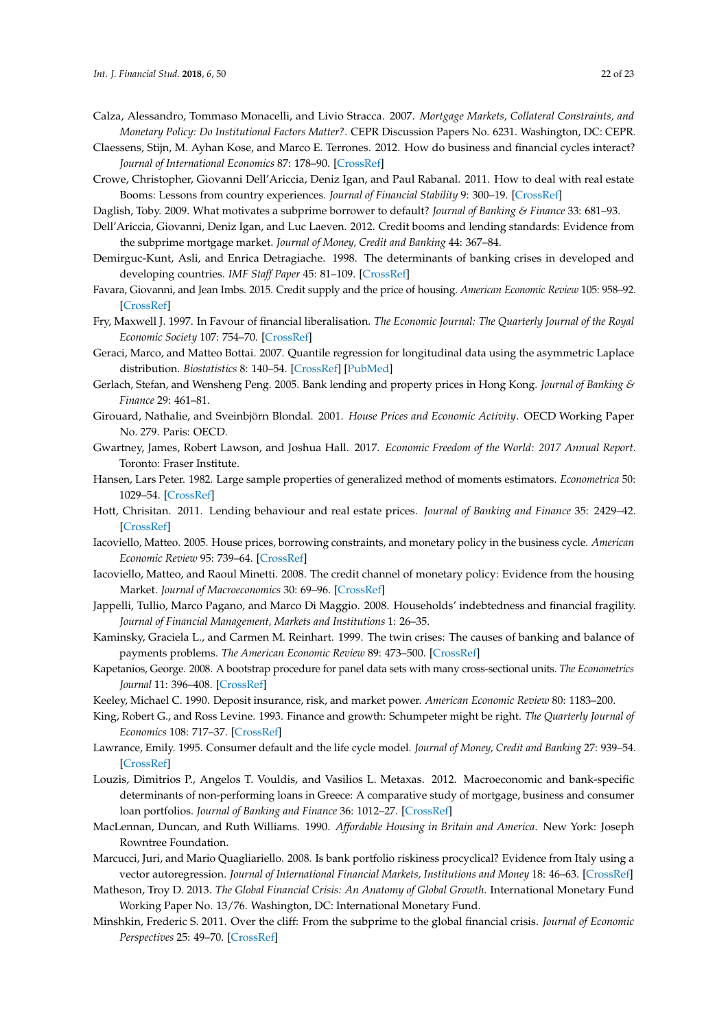- <span id="page-21-9"></span>Calza, Alessandro, Tommaso Monacelli, and Livio Stracca. 2007. *Mortgage Markets, Collateral Constraints, and Monetary Policy: Do Institutional Factors Matter?*. CEPR Discussion Papers No. 6231. Washington, DC: CEPR.
- <span id="page-21-26"></span>Claessens, Stijn, M. Ayhan Kose, and Marco E. Terrones. 2012. How do business and financial cycles interact? *Journal of International Economics* 87: 178–90. [\[CrossRef\]](http://dx.doi.org/10.1016/j.jinteco.2011.11.008)
- <span id="page-21-25"></span>Crowe, Christopher, Giovanni Dell'Ariccia, Deniz Igan, and Paul Rabanal. 2011. How to deal with real estate Booms: Lessons from country experiences. *Journal of Financial Stability* 9: 300–19. [\[CrossRef\]](http://dx.doi.org/10.1016/j.jfs.2013.05.003)
- <span id="page-21-7"></span>Daglish, Toby. 2009. What motivates a subprime borrower to default? *Journal of Banking & Finance* 33: 681–93.
- <span id="page-21-3"></span>Dell'Ariccia, Giovanni, Deniz Igan, and Luc Laeven. 2012. Credit booms and lending standards: Evidence from the subprime mortgage market. *Journal of Money, Credit and Banking* 44: 367–84.
- <span id="page-21-12"></span>Demirguc-Kunt, Asli, and Enrica Detragiache. 1998. The determinants of banking crises in developed and developing countries. *IMF Staff Paper* 45: 81–109. [\[CrossRef\]](http://dx.doi.org/10.2307/3867330)
- <span id="page-21-6"></span>Favara, Giovanni, and Jean Imbs. 2015. Credit supply and the price of housing. *American Economic Review* 105: 958–92. [\[CrossRef\]](http://dx.doi.org/10.1257/aer.20121416)
- <span id="page-21-19"></span>Fry, Maxwell J. 1997. In Favour of financial liberalisation. *The Economic Journal: The Quarterly Journal of the Royal Economic Society* 107: 754–70. [\[CrossRef\]](http://dx.doi.org/10.1111/j.1468-0297.1997.tb00041.x)
- <span id="page-21-24"></span>Geraci, Marco, and Matteo Bottai. 2007. Quantile regression for longitudinal data using the asymmetric Laplace distribution. *Biostatistics* 8: 140–54. [\[CrossRef\]](http://dx.doi.org/10.1093/biostatistics/kxj039) [\[PubMed\]](http://www.ncbi.nlm.nih.gov/pubmed/16636139)
- <span id="page-21-0"></span>Gerlach, Stefan, and Wensheng Peng. 2005. Bank lending and property prices in Hong Kong. *Journal of Banking & Finance* 29: 461–81.
- <span id="page-21-4"></span>Girouard, Nathalie, and Sveinbjörn Blondal. 2001. *House Prices and Economic Activity*. OECD Working Paper No. 279. Paris: OECD.
- <span id="page-21-21"></span>Gwartney, James, Robert Lawson, and Joshua Hall. 2017. *Economic Freedom of the World: 2017 Annual Report*. Toronto: Fraser Institute.
- <span id="page-21-22"></span>Hansen, Lars Peter. 1982. Large sample properties of generalized method of moments estimators. *Econometrica* 50: 1029–54. [\[CrossRef\]](http://dx.doi.org/10.2307/1912775)
- <span id="page-21-5"></span>Hott, Chrisitan. 2011. Lending behaviour and real estate prices. *Journal of Banking and Finance* 35: 2429–42. [\[CrossRef\]](http://dx.doi.org/10.1016/j.jbankfin.2011.02.001)
- <span id="page-21-8"></span>Iacoviello, Matteo. 2005. House prices, borrowing constraints, and monetary policy in the business cycle. *American Economic Review* 95: 739–64. [\[CrossRef\]](http://dx.doi.org/10.1257/0002828054201477)
- <span id="page-21-15"></span>Iacoviello, Matteo, and Raoul Minetti. 2008. The credit channel of monetary policy: Evidence from the housing Market. *Journal of Macroeconomics* 30: 69–96. [\[CrossRef\]](http://dx.doi.org/10.1016/j.jmacro.2006.12.001)
- <span id="page-21-11"></span>Jappelli, Tullio, Marco Pagano, and Marco Di Maggio. 2008. Households' indebtedness and financial fragility. *Journal of Financial Management, Markets and Institutions* 1: 26–35.
- <span id="page-21-13"></span>Kaminsky, Graciela L., and Carmen M. Reinhart. 1999. The twin crises: The causes of banking and balance of payments problems. *The American Economic Review* 89: 473–500. [\[CrossRef\]](http://dx.doi.org/10.1257/aer.89.3.473)
- <span id="page-21-23"></span>Kapetanios, George. 2008. A bootstrap procedure for panel data sets with many cross-sectional units. *The Econometrics Journal* 11: 396–408. [\[CrossRef\]](http://dx.doi.org/10.1111/j.1368-423X.2008.00243.x)
- <span id="page-21-14"></span>Keeley, Michael C. 1990. Deposit insurance, risk, and market power. *American Economic Review* 80: 1183–200.
- <span id="page-21-20"></span>King, Robert G., and Ross Levine. 1993. Finance and growth: Schumpeter might be right. *The Quarterly Journal of Economics* 108: 717–37. [\[CrossRef\]](http://dx.doi.org/10.2307/2118406)
- <span id="page-21-17"></span>Lawrance, Emily. 1995. Consumer default and the life cycle model. *Journal of Money, Credit and Banking* 27: 939–54. [\[CrossRef\]](http://dx.doi.org/10.2307/2077781)
- <span id="page-21-16"></span>Louzis, Dimitrios P., Angelos T. Vouldis, and Vasilios L. Metaxas. 2012. Macroeconomic and bank-specific determinants of non-performing loans in Greece: A comparative study of mortgage, business and consumer loan portfolios. *Journal of Banking and Finance* 36: 1012–27. [\[CrossRef\]](http://dx.doi.org/10.1016/j.jbankfin.2011.10.012)
- <span id="page-21-18"></span>MacLennan, Duncan, and Ruth Williams. 1990. *Affordable Housing in Britain and America*. New York: Joseph Rowntree Foundation.
- <span id="page-21-10"></span>Marcucci, Juri, and Mario Quagliariello. 2008. Is bank portfolio riskiness procyclical? Evidence from Italy using a vector autoregression. *Journal of International Financial Markets, Institutions and Money* 18: 46–63. [\[CrossRef\]](http://dx.doi.org/10.1016/j.intfin.2006.05.002)
- <span id="page-21-1"></span>Matheson, Troy D. 2013. *The Global Financial Crisis: An Anatomy of Global Growth*. International Monetary Fund Working Paper No. 13/76. Washington, DC: International Monetary Fund.
- <span id="page-21-2"></span>Minshkin, Frederic S. 2011. Over the cliff: From the subprime to the global financial crisis. *Journal of Economic Perspectives* 25: 49–70. [\[CrossRef\]](http://dx.doi.org/10.1257/jep.25.1.49)